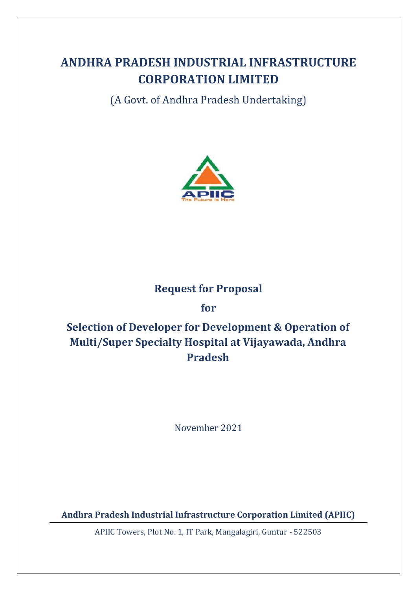# **ANDHRA PRADESH INDUSTRIAL INFRASTRUCTURE CORPORATION LIMITED**

(A Govt. of Andhra Pradesh Undertaking)



## **Request for Proposal**

**for**

# **Selection of Developer for Development & Operation of Multi/Super Specialty Hospital at Vijayawada, Andhra Pradesh**

November 2021

**Andhra Pradesh Industrial Infrastructure Corporation Limited (APIIC)**

APIIC Towers, Plot No. 1, IT Park, Mangalagiri, Guntur - 522503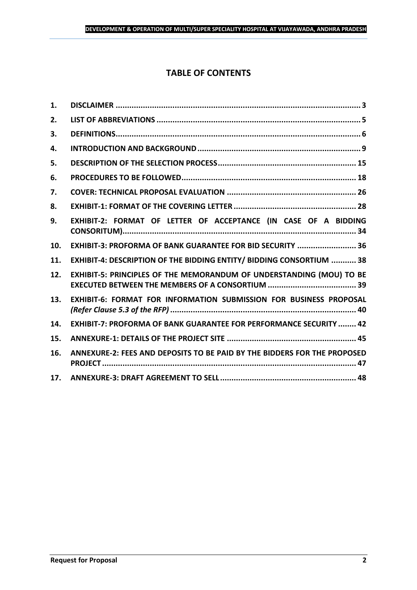## **TABLE OF CONTENTS**

| 1.  |                                                                           |
|-----|---------------------------------------------------------------------------|
| 2.  |                                                                           |
| 3.  |                                                                           |
| 4.  |                                                                           |
| 5.  |                                                                           |
| 6.  |                                                                           |
| 7.  |                                                                           |
| 8.  |                                                                           |
| 9.  | EXHIBIT-2: FORMAT OF LETTER OF ACCEPTANCE (IN CASE OF A BIDDING           |
| 10. | EXHIBIT-3: PROFORMA OF BANK GUARANTEE FOR BID SECURITY  36                |
| 11. | EXHIBIT-4: DESCRIPTION OF THE BIDDING ENTITY/ BIDDING CONSORTIUM  38      |
| 12. | EXHIBIT-5: PRINCIPLES OF THE MEMORANDUM OF UNDERSTANDING (MOU) TO BE      |
| 13. | EXHIBIT-6: FORMAT FOR INFORMATION SUBMISSION FOR BUSINESS PROPOSAL        |
| 14. | <b>EXHIBIT-7: PROFORMA OF BANK GUARANTEE FOR PERFORMANCE SECURITY  42</b> |
| 15. |                                                                           |
| 16. | ANNEXURE-2: FEES AND DEPOSITS TO BE PAID BY THE BIDDERS FOR THE PROPOSED  |
| 17. |                                                                           |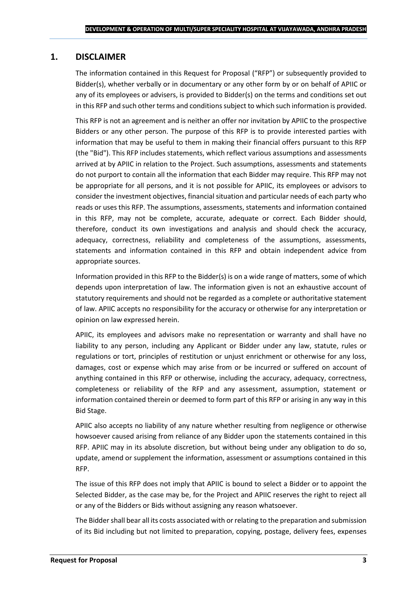## <span id="page-2-0"></span>**1. DISCLAIMER**

The information contained in this Request for Proposal ("RFP") or subsequently provided to Bidder(s), whether verbally or in documentary or any other form by or on behalf of APIIC or any of its employees or advisers, is provided to Bidder(s) on the terms and conditions set out in this RFP and such other terms and conditions subject to which such information is provided.

This RFP is not an agreement and is neither an offer nor invitation by APIIC to the prospective Bidders or any other person. The purpose of this RFP is to provide interested parties with information that may be useful to them in making their financial offers pursuant to this RFP (the "Bid"). This RFP includes statements, which reflect various assumptions and assessments arrived at by APIIC in relation to the Project. Such assumptions, assessments and statements do not purport to contain all the information that each Bidder may require. This RFP may not be appropriate for all persons, and it is not possible for APIIC, its employees or advisors to consider the investment objectives, financial situation and particular needs of each party who reads or uses this RFP. The assumptions, assessments, statements and information contained in this RFP, may not be complete, accurate, adequate or correct. Each Bidder should, therefore, conduct its own investigations and analysis and should check the accuracy, adequacy, correctness, reliability and completeness of the assumptions, assessments, statements and information contained in this RFP and obtain independent advice from appropriate sources.

Information provided in this RFP to the Bidder(s) is on a wide range of matters, some of which depends upon interpretation of law. The information given is not an exhaustive account of statutory requirements and should not be regarded as a complete or authoritative statement of law. APIIC accepts no responsibility for the accuracy or otherwise for any interpretation or opinion on law expressed herein.

APIIC, its employees and advisors make no representation or warranty and shall have no liability to any person, including any Applicant or Bidder under any law, statute, rules or regulations or tort, principles of restitution or unjust enrichment or otherwise for any loss, damages, cost or expense which may arise from or be incurred or suffered on account of anything contained in this RFP or otherwise, including the accuracy, adequacy, correctness, completeness or reliability of the RFP and any assessment, assumption, statement or information contained therein or deemed to form part of this RFP or arising in any way in this Bid Stage.

APIIC also accepts no liability of any nature whether resulting from negligence or otherwise howsoever caused arising from reliance of any Bidder upon the statements contained in this RFP. APIIC may in its absolute discretion, but without being under any obligation to do so, update, amend or supplement the information, assessment or assumptions contained in this RFP.

The issue of this RFP does not imply that APIIC is bound to select a Bidder or to appoint the Selected Bidder, as the case may be, for the Project and APIIC reserves the right to reject all or any of the Bidders or Bids without assigning any reason whatsoever.

The Bidder shall bear all its costs associated with or relating to the preparation and submission of its Bid including but not limited to preparation, copying, postage, delivery fees, expenses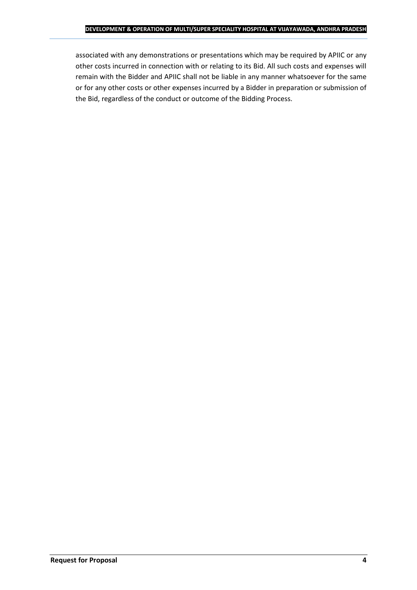associated with any demonstrations or presentations which may be required by APIIC or any other costs incurred in connection with or relating to its Bid. All such costs and expenses will remain with the Bidder and APIIC shall not be liable in any manner whatsoever for the same or for any other costs or other expenses incurred by a Bidder in preparation or submission of the Bid, regardless of the conduct or outcome of the Bidding Process.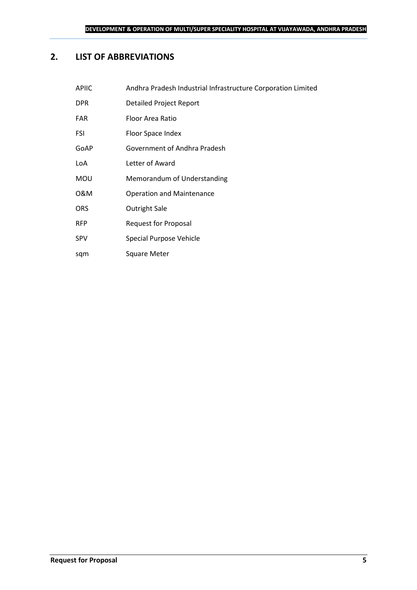## <span id="page-4-0"></span>**2. LIST OF ABBREVIATIONS**

| <b>APIIC</b> | Andhra Pradesh Industrial Infrastructure Corporation Limited |
|--------------|--------------------------------------------------------------|
| <b>DPR</b>   | Detailed Project Report                                      |
| <b>FAR</b>   | Floor Area Ratio                                             |
| FSI          | Floor Space Index                                            |
| GoAP         | Government of Andhra Pradesh                                 |
| LoA          | Letter of Award                                              |
| <b>MOU</b>   | Memorandum of Understanding                                  |
| 0&M          | <b>Operation and Maintenance</b>                             |
| <b>ORS</b>   | <b>Outright Sale</b>                                         |
| <b>RFP</b>   | <b>Request for Proposal</b>                                  |
| <b>SPV</b>   | Special Purpose Vehicle                                      |
|              |                                                              |

sqm Square Meter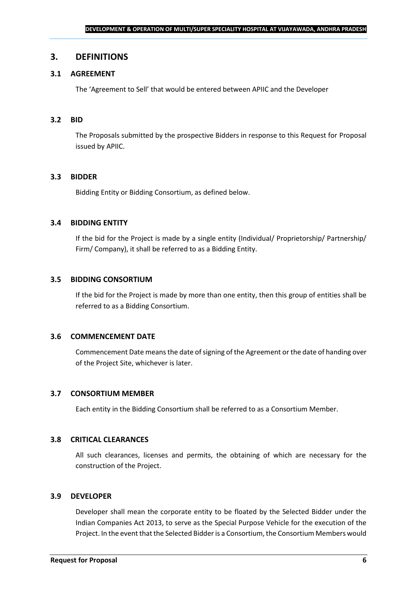#### <span id="page-5-0"></span>**3. DEFINITIONS**

#### **3.1 AGREEMENT**

The 'Agreement to Sell' that would be entered between APIIC and the Developer

#### **3.2 BID**

The Proposals submitted by the prospective Bidders in response to this Request for Proposal issued by APIIC.

#### **3.3 BIDDER**

Bidding Entity or Bidding Consortium, as defined below.

#### **3.4 BIDDING ENTITY**

If the bid for the Project is made by a single entity (Individual/ Proprietorship/ Partnership/ Firm/ Company), it shall be referred to as a Bidding Entity.

#### **3.5 BIDDING CONSORTIUM**

If the bid for the Project is made by more than one entity, then this group of entities shall be referred to as a Bidding Consortium.

#### **3.6 COMMENCEMENT DATE**

Commencement Date means the date of signing of the Agreement or the date of handing over of the Project Site, whichever is later.

#### **3.7 CONSORTIUM MEMBER**

Each entity in the Bidding Consortium shall be referred to as a Consortium Member.

#### **3.8 CRITICAL CLEARANCES**

All such clearances, licenses and permits, the obtaining of which are necessary for the construction of the Project.

#### **3.9 DEVELOPER**

Developer shall mean the corporate entity to be floated by the Selected Bidder under the Indian Companies Act 2013, to serve as the Special Purpose Vehicle for the execution of the Project. In the event that the Selected Bidder is a Consortium, the Consortium Members would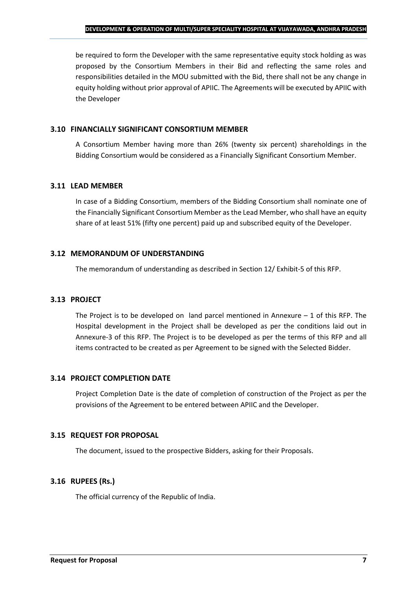be required to form the Developer with the same representative equity stock holding as was proposed by the Consortium Members in their Bid and reflecting the same roles and responsibilities detailed in the MOU submitted with the Bid, there shall not be any change in equity holding without prior approval of APIIC. The Agreements will be executed by APIIC with the Developer

#### **3.10 FINANCIALLY SIGNIFICANT CONSORTIUM MEMBER**

A Consortium Member having more than 26% (twenty six percent) shareholdings in the Bidding Consortium would be considered as a Financially Significant Consortium Member.

#### **3.11 LEAD MEMBER**

In case of a Bidding Consortium, members of the Bidding Consortium shall nominate one of the Financially Significant Consortium Member as the Lead Member, who shall have an equity share of at least 51% (fifty one percent) paid up and subscribed equity of the Developer.

#### **3.12 MEMORANDUM OF UNDERSTANDING**

The memorandum of understanding as described in Section 12/ Exhibit-5 of this RFP.

## **3.13 PROJECT**

The Project is to be developed on land parcel mentioned in Annexure  $-1$  of this RFP. The Hospital development in the Project shall be developed as per the conditions laid out in Annexure-3 of this RFP. The Project is to be developed as per the terms of this RFP and all items contracted to be created as per Agreement to be signed with the Selected Bidder.

## **3.14 PROJECT COMPLETION DATE**

Project Completion Date is the date of completion of construction of the Project as per the provisions of the Agreement to be entered between APIIC and the Developer.

## **3.15 REQUEST FOR PROPOSAL**

The document, issued to the prospective Bidders, asking for their Proposals.

## **3.16 RUPEES (Rs.)**

The official currency of the Republic of India.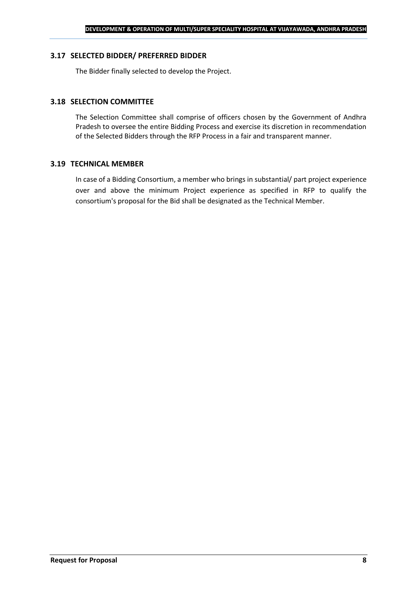#### **3.17 SELECTED BIDDER/ PREFERRED BIDDER**

The Bidder finally selected to develop the Project.

#### **3.18 SELECTION COMMITTEE**

The Selection Committee shall comprise of officers chosen by the Government of Andhra Pradesh to oversee the entire Bidding Process and exercise its discretion in recommendation of the Selected Bidders through the RFP Process in a fair and transparent manner.

#### **3.19 TECHNICAL MEMBER**

In case of a Bidding Consortium, a member who brings in substantial/ part project experience over and above the minimum Project experience as specified in RFP to qualify the consortium's proposal for the Bid shall be designated as the Technical Member.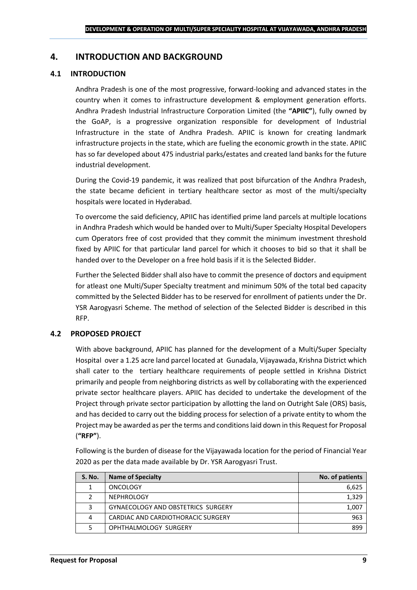## <span id="page-8-0"></span>**4. INTRODUCTION AND BACKGROUND**

#### **4.1 INTRODUCTION**

Andhra Pradesh is one of the most progressive, forward-looking and advanced states in the country when it comes to infrastructure development & employment generation efforts. Andhra Pradesh Industrial Infrastructure Corporation Limited (the **"APIIC"**), fully owned by the GoAP, is a progressive organization responsible for development of Industrial Infrastructure in the state of Andhra Pradesh. APIIC is known for creating landmark infrastructure projects in the state, which are fueling the economic growth in the state. APIIC has so far developed about 475 industrial parks/estates and created land banks for the future industrial development.

During the Covid-19 pandemic, it was realized that post bifurcation of the Andhra Pradesh, the state became deficient in tertiary healthcare sector as most of the multi/specialty hospitals were located in Hyderabad.

To overcome the said deficiency, APIIC has identified prime land parcels at multiple locations in Andhra Pradesh which would be handed over to Multi/Super Specialty Hospital Developers cum Operators free of cost provided that they commit the minimum investment threshold fixed by APIIC for that particular land parcel for which it chooses to bid so that it shall be handed over to the Developer on a free hold basis if it is the Selected Bidder.

Further the Selected Bidder shall also have to commit the presence of doctors and equipment for atleast one Multi/Super Specialty treatment and minimum 50% of the total bed capacity committed by the Selected Bidder has to be reserved for enrollment of patients under the Dr. YSR Aarogyasri Scheme. The method of selection of the Selected Bidder is described in this RFP.

#### **4.2 PROPOSED PROJECT**

With above background, APIIC has planned for the development of a Multi/Super Specialty Hospital over a 1.25 acre land parcel located at Gunadala, Vijayawada, Krishna District which shall cater to the tertiary healthcare requirements of people settled in Krishna District primarily and people from neighboring districts as well by collaborating with the experienced private sector healthcare players. APIIC has decided to undertake the development of the Project through private sector participation by allotting the land on Outright Sale (ORS) basis, and has decided to carry out the bidding process for selection of a private entity to whom the Project may be awarded as per the terms and conditions laid down in this Request for Proposal (**"RFP"**).

Following is the burden of disease for the Vijayawada location for the period of Financial Year 2020 as per the data made available by Dr. YSR Aarogyasri Trust.

| <b>S. No.</b> | <b>Name of Specialty</b>                  | No. of patients |
|---------------|-------------------------------------------|-----------------|
|               | ONCOLOGY                                  | 6,625           |
|               | <b>NEPHROLOGY</b>                         | 1,329           |
| 3             | <b>GYNAECOLOGY AND OBSTETRICS SURGERY</b> | 1,007           |
| 4             | CARDIAC AND CARDIOTHORACIC SURGERY        | 963             |
|               | OPHTHALMOLOGY SURGERY                     | 899             |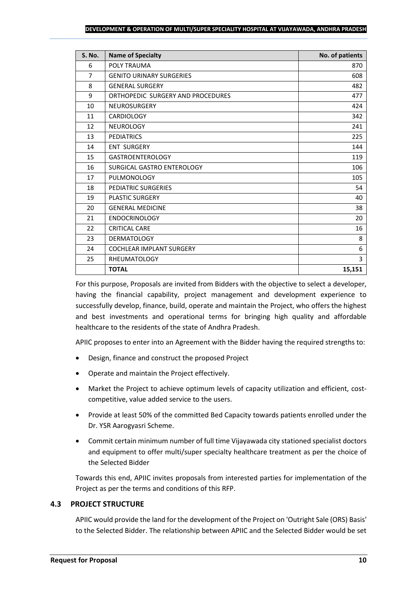#### **DEVELOPMENT & OPERATION OF MULTI/SUPER SPECIALITY HOSPITAL AT VIJAYAWADA, ANDHRA PRADESH**

| <b>S. No.</b>  | <b>Name of Specialty</b>          | No. of patients |
|----------------|-----------------------------------|-----------------|
| 6              | POLY TRAUMA                       | 870             |
| $\overline{7}$ | <b>GENITO URINARY SURGERIES</b>   | 608             |
| 8              | <b>GENERAL SURGERY</b>            | 482             |
| 9              | ORTHOPEDIC SURGERY AND PROCEDURES | 477             |
| 10             | <b>NEUROSURGERY</b>               | 424             |
| 11             | <b>CARDIOLOGY</b>                 | 342             |
| 12             | <b>NEUROLOGY</b>                  | 241             |
| 13             | <b>PEDIATRICS</b>                 | 225             |
| 14             | <b>ENT SURGERY</b>                | 144             |
| 15             | <b>GASTROENTEROLOGY</b>           | 119             |
| 16             | SURGICAL GASTRO ENTEROLOGY        | 106             |
| 17             | PULMONOLOGY                       | 105             |
| 18             | PEDIATRIC SURGERIES               | 54              |
| 19             | <b>PLASTIC SURGERY</b>            | 40              |
| 20             | <b>GENERAL MEDICINE</b>           | 38              |
| 21             | <b>ENDOCRINOLOGY</b>              | 20              |
| 22             | <b>CRITICAL CARE</b>              | 16              |
| 23             | <b>DERMATOLOGY</b>                | 8               |
| 24             | <b>COCHLEAR IMPLANT SURGERY</b>   | 6               |
| 25             | <b>RHEUMATOLOGY</b>               | 3               |
|                | <b>TOTAL</b>                      | 15,151          |

For this purpose, Proposals are invited from Bidders with the objective to select a developer, having the financial capability, project management and development experience to successfully develop, finance, build, operate and maintain the Project, who offers the highest and best investments and operational terms for bringing high quality and affordable healthcare to the residents of the state of Andhra Pradesh.

APIIC proposes to enter into an Agreement with the Bidder having the required strengths to:

- Design, finance and construct the proposed Project
- Operate and maintain the Project effectively.
- Market the Project to achieve optimum levels of capacity utilization and efficient, costcompetitive, value added service to the users.
- Provide at least 50% of the committed Bed Capacity towards patients enrolled under the Dr. YSR Aarogyasri Scheme.
- Commit certain minimum number of full time Vijayawada city stationed specialist doctors and equipment to offer multi/super specialty healthcare treatment as per the choice of the Selected Bidder

Towards this end, APIIC invites proposals from interested parties for implementation of the Project as per the terms and conditions of this RFP.

## **4.3 PROJECT STRUCTURE**

APIIC would provide the land for the development of the Project on 'Outright Sale (ORS) Basis' to the Selected Bidder. The relationship between APIIC and the Selected Bidder would be set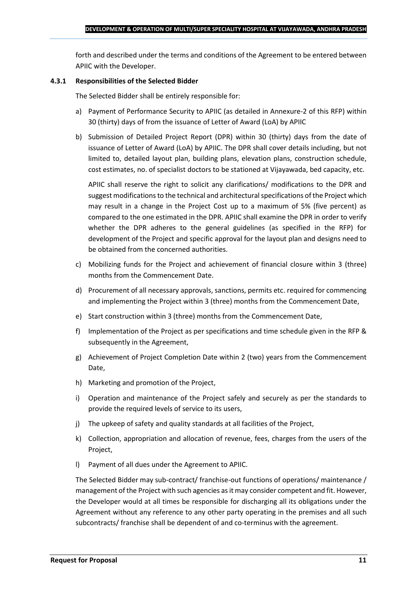forth and described under the terms and conditions of the Agreement to be entered between APIIC with the Developer.

#### **4.3.1 Responsibilities of the Selected Bidder**

The Selected Bidder shall be entirely responsible for:

- a) Payment of Performance Security to APIIC (as detailed in Annexure-2 of this RFP) within 30 (thirty) days of from the issuance of Letter of Award (LoA) by APIIC
- b) Submission of Detailed Project Report (DPR) within 30 (thirty) days from the date of issuance of Letter of Award (LoA) by APIIC. The DPR shall cover details including, but not limited to, detailed layout plan, building plans, elevation plans, construction schedule, cost estimates, no. of specialist doctors to be stationed at Vijayawada, bed capacity, etc.

APIIC shall reserve the right to solicit any clarifications/ modifications to the DPR and suggest modifications to the technical and architectural specifications of the Project which may result in a change in the Project Cost up to a maximum of 5% (five percent) as compared to the one estimated in the DPR. APIIC shall examine the DPR in order to verify whether the DPR adheres to the general guidelines (as specified in the RFP) for development of the Project and specific approval for the layout plan and designs need to be obtained from the concerned authorities.

- c) Mobilizing funds for the Project and achievement of financial closure within 3 (three) months from the Commencement Date.
- d) Procurement of all necessary approvals, sanctions, permits etc. required for commencing and implementing the Project within 3 (three) months from the Commencement Date,
- e) Start construction within 3 (three) months from the Commencement Date,
- f) Implementation of the Project as per specifications and time schedule given in the RFP & subsequently in the Agreement,
- g) Achievement of Project Completion Date within 2 (two) years from the Commencement Date,
- h) Marketing and promotion of the Project,
- i) Operation and maintenance of the Project safely and securely as per the standards to provide the required levels of service to its users,
- j) The upkeep of safety and quality standards at all facilities of the Project,
- k) Collection, appropriation and allocation of revenue, fees, charges from the users of the Project,
- l) Payment of all dues under the Agreement to APIIC.

The Selected Bidder may sub-contract/ franchise-out functions of operations/ maintenance / management of the Project with such agencies as it may consider competent and fit. However, the Developer would at all times be responsible for discharging all its obligations under the Agreement without any reference to any other party operating in the premises and all such subcontracts/ franchise shall be dependent of and co-terminus with the agreement.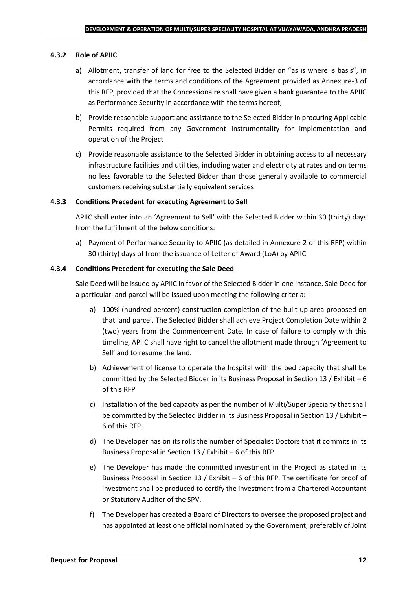#### **4.3.2 Role of APIIC**

- a) Allotment, transfer of land for free to the Selected Bidder on "as is where is basis", in accordance with the terms and conditions of the Agreement provided as Annexure-3 of this RFP, provided that the Concessionaire shall have given a bank guarantee to the APIIC as Performance Security in accordance with the terms hereof;
- b) Provide reasonable support and assistance to the Selected Bidder in procuring Applicable Permits required from any Government Instrumentality for implementation and operation of the Project
- c) Provide reasonable assistance to the Selected Bidder in obtaining access to all necessary infrastructure facilities and utilities, including water and electricity at rates and on terms no less favorable to the Selected Bidder than those generally available to commercial customers receiving substantially equivalent services

#### **4.3.3 Conditions Precedent for executing Agreement to Sell**

APIIC shall enter into an 'Agreement to Sell' with the Selected Bidder within 30 (thirty) days from the fulfillment of the below conditions:

a) Payment of Performance Security to APIIC (as detailed in Annexure-2 of this RFP) within 30 (thirty) days of from the issuance of Letter of Award (LoA) by APIIC

#### **4.3.4 Conditions Precedent for executing the Sale Deed**

Sale Deed will be issued by APIIC in favor of the Selected Bidder in one instance. Sale Deed for a particular land parcel will be issued upon meeting the following criteria: -

- a) 100% (hundred percent) construction completion of the built-up area proposed on that land parcel. The Selected Bidder shall achieve Project Completion Date within 2 (two) years from the Commencement Date. In case of failure to comply with this timeline, APIIC shall have right to cancel the allotment made through 'Agreement to Sell' and to resume the land.
- b) Achievement of license to operate the hospital with the bed capacity that shall be committed by the Selected Bidder in its Business Proposal in Section 13 / Exhibit – 6 of this RFP
- c) Installation of the bed capacity as per the number of Multi/Super Specialty that shall be committed by the Selected Bidder in its Business Proposal in Section 13 / Exhibit – 6 of this RFP.
- d) The Developer has on its rolls the number of Specialist Doctors that it commits in its Business Proposal in Section 13 / Exhibit – 6 of this RFP.
- e) The Developer has made the committed investment in the Project as stated in its Business Proposal in Section 13 / Exhibit – 6 of this RFP. The certificate for proof of investment shall be produced to certify the investment from a Chartered Accountant or Statutory Auditor of the SPV.
- f) The Developer has created a Board of Directors to oversee the proposed project and has appointed at least one official nominated by the Government, preferably of Joint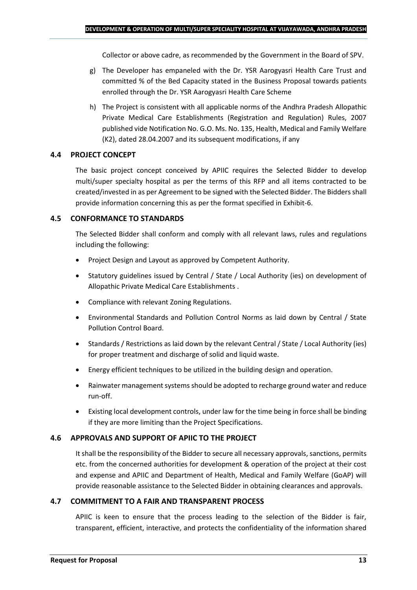Collector or above cadre, as recommended by the Government in the Board of SPV.

- g) The Developer has empaneled with the Dr. YSR Aarogyasri Health Care Trust and committed % of the Bed Capacity stated in the Business Proposal towards patients enrolled through the Dr. YSR Aarogyasri Health Care Scheme
- h) The Project is consistent with all applicable norms of the Andhra Pradesh Allopathic Private Medical Care Establishments (Registration and Regulation) Rules, 2007 published vide Notification No. G.O. Ms. No. 135, Health, Medical and Family Welfare (K2), dated 28.04.2007 and its subsequent modifications, if any

## **4.4 PROJECT CONCEPT**

The basic project concept conceived by APIIC requires the Selected Bidder to develop multi/super specialty hospital as per the terms of this RFP and all items contracted to be created/invested in as per Agreement to be signed with the Selected Bidder. The Bidders shall provide information concerning this as per the format specified in Exhibit-6.

## **4.5 CONFORMANCE TO STANDARDS**

The Selected Bidder shall conform and comply with all relevant laws, rules and regulations including the following:

- Project Design and Layout as approved by Competent Authority.
- Statutory guidelines issued by Central / State / Local Authority (ies) on development of Allopathic Private Medical Care Establishments .
- Compliance with relevant Zoning Regulations.
- Environmental Standards and Pollution Control Norms as laid down by Central / State Pollution Control Board.
- Standards / Restrictions as laid down by the relevant Central / State / Local Authority (ies) for proper treatment and discharge of solid and liquid waste.
- Energy efficient techniques to be utilized in the building design and operation.
- Rainwater management systems should be adopted to recharge ground water and reduce run-off.
- Existing local development controls, under law for the time being in force shall be binding if they are more limiting than the Project Specifications.

## **4.6 APPROVALS AND SUPPORT OF APIIC TO THE PROJECT**

It shall be the responsibility of the Bidder to secure all necessary approvals, sanctions, permits etc. from the concerned authorities for development & operation of the project at their cost and expense and APIIC and Department of Health, Medical and Family Welfare (GoAP) will provide reasonable assistance to the Selected Bidder in obtaining clearances and approvals.

## **4.7 COMMITMENT TO A FAIR AND TRANSPARENT PROCESS**

APIIC is keen to ensure that the process leading to the selection of the Bidder is fair, transparent, efficient, interactive, and protects the confidentiality of the information shared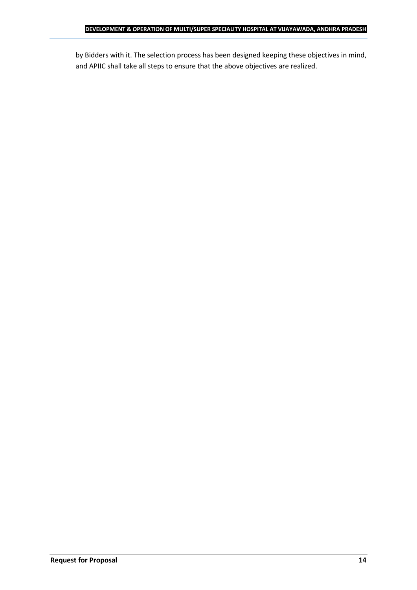by Bidders with it. The selection process has been designed keeping these objectives in mind, and APIIC shall take all steps to ensure that the above objectives are realized.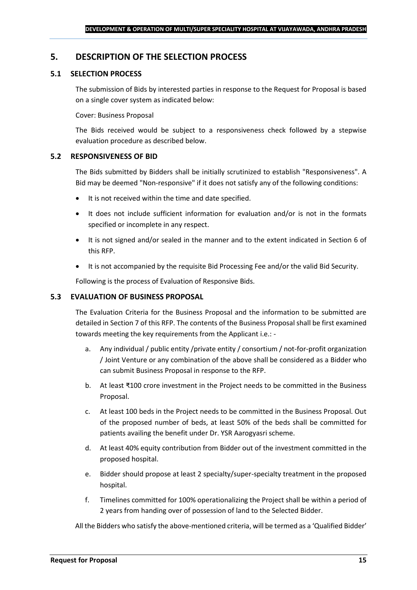## <span id="page-14-0"></span>**5. DESCRIPTION OF THE SELECTION PROCESS**

## **5.1 SELECTION PROCESS**

The submission of Bids by interested parties in response to the Request for Proposal is based on a single cover system as indicated below:

#### Cover: Business Proposal

The Bids received would be subject to a responsiveness check followed by a stepwise evaluation procedure as described below.

#### **5.2 RESPONSIVENESS OF BID**

The Bids submitted by Bidders shall be initially scrutinized to establish "Responsiveness". A Bid may be deemed "Non-responsive" if it does not satisfy any of the following conditions:

- It is not received within the time and date specified.
- It does not include sufficient information for evaluation and/or is not in the formats specified or incomplete in any respect.
- It is not signed and/or sealed in the manner and to the extent indicated in Section 6 of this RFP.
- It is not accompanied by the requisite Bid Processing Fee and/or the valid Bid Security.

Following is the process of Evaluation of Responsive Bids.

## **5.3 EVALUATION OF BUSINESS PROPOSAL**

The Evaluation Criteria for the Business Proposal and the information to be submitted are detailed in Section 7 of this RFP. The contents of the Business Proposal shall be first examined towards meeting the key requirements from the Applicant i.e.: -

- a. Any individual / public entity / private entity / consortium / not-for-profit organization / Joint Venture or any combination of the above shall be considered as a Bidder who can submit Business Proposal in response to the RFP.
- b. At least ₹100 crore investment in the Project needs to be committed in the Business Proposal.
- c. At least 100 beds in the Project needs to be committed in the Business Proposal. Out of the proposed number of beds, at least 50% of the beds shall be committed for patients availing the benefit under Dr. YSR Aarogyasri scheme.
- d. At least 40% equity contribution from Bidder out of the investment committed in the proposed hospital.
- e. Bidder should propose at least 2 specialty/super-specialty treatment in the proposed hospital.
- f. Timelines committed for 100% operationalizing the Project shall be within a period of 2 years from handing over of possession of land to the Selected Bidder.

All the Bidders who satisfy the above-mentioned criteria, will be termed as a 'Qualified Bidder'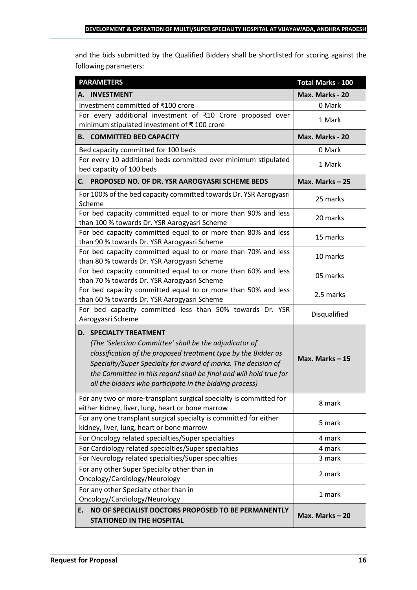and the bids submitted by the Qualified Bidders shall be shortlisted for scoring against the following parameters:

| <b>PARAMETERS</b>                                                                                                                                                                                                                                                                                                                                           | <b>Total Marks - 100</b> |
|-------------------------------------------------------------------------------------------------------------------------------------------------------------------------------------------------------------------------------------------------------------------------------------------------------------------------------------------------------------|--------------------------|
| A. INVESTMENT                                                                                                                                                                                                                                                                                                                                               | Max. Marks - 20          |
| Investment committed of ₹100 crore                                                                                                                                                                                                                                                                                                                          | 0 Mark                   |
| For every additional investment of ₹10 Crore proposed over<br>minimum stipulated investment of ₹100 crore                                                                                                                                                                                                                                                   | 1 Mark                   |
| <b>B. COMMITTED BED CAPACITY</b>                                                                                                                                                                                                                                                                                                                            | Max. Marks - 20          |
| Bed capacity committed for 100 beds                                                                                                                                                                                                                                                                                                                         | 0 Mark                   |
| For every 10 additional beds committed over minimum stipulated<br>bed capacity of 100 beds                                                                                                                                                                                                                                                                  | 1 Mark                   |
| PROPOSED NO. OF DR. YSR AAROGYASRI SCHEME BEDS<br>С. —                                                                                                                                                                                                                                                                                                      | Max. Marks-25            |
| For 100% of the bed capacity committed towards Dr. YSR Aarogyasri<br>Scheme                                                                                                                                                                                                                                                                                 | 25 marks                 |
| For bed capacity committed equal to or more than 90% and less<br>than 100 % towards Dr. YSR Aarogyasri Scheme                                                                                                                                                                                                                                               | 20 marks                 |
| For bed capacity committed equal to or more than 80% and less<br>than 90 % towards Dr. YSR Aarogyasri Scheme                                                                                                                                                                                                                                                | 15 marks                 |
| For bed capacity committed equal to or more than 70% and less<br>than 80 % towards Dr. YSR Aarogyasri Scheme                                                                                                                                                                                                                                                | 10 marks                 |
| For bed capacity committed equal to or more than 60% and less<br>than 70 % towards Dr. YSR Aarogyasri Scheme                                                                                                                                                                                                                                                | 05 marks                 |
| For bed capacity committed equal to or more than 50% and less<br>than 60 % towards Dr. YSR Aarogyasri Scheme                                                                                                                                                                                                                                                | 2.5 marks                |
| For bed capacity committed less than 50% towards Dr. YSR<br>Aarogyasri Scheme                                                                                                                                                                                                                                                                               | Disqualified             |
| <b>D. SPECIALTY TREATMENT</b><br>(The 'Selection Committee' shall be the adjudicator of<br>classification of the proposed treatment type by the Bidder as<br>Specialty/Super Specialty for award of marks. The decision of<br>the Committee in this regard shall be final and will hold true for<br>all the bidders who participate in the bidding process) | Max. Marks $-15$         |
| For any two or more-transplant surgical specialty is committed for<br>either kidney, liver, lung, heart or bone marrow                                                                                                                                                                                                                                      | 8 mark                   |
| For any one transplant surgical specialty is committed for either<br>kidney, liver, lung, heart or bone marrow                                                                                                                                                                                                                                              | 5 mark                   |
| For Oncology related specialties/Super specialties                                                                                                                                                                                                                                                                                                          | 4 mark                   |
| For Cardiology related specialties/Super specialties                                                                                                                                                                                                                                                                                                        | 4 mark                   |
| For Neurology related specialties/Super specialties                                                                                                                                                                                                                                                                                                         | 3 mark                   |
| For any other Super Specialty other than in<br>Oncology/Cardiology/Neurology                                                                                                                                                                                                                                                                                | 2 mark                   |
| For any other Specialty other than in<br>Oncology/Cardiology/Neurology                                                                                                                                                                                                                                                                                      | 1 mark                   |
| NO OF SPECIALIST DOCTORS PROPOSED TO BE PERMANENTLY<br>Ε.<br><b>STATIONED IN THE HOSPITAL</b>                                                                                                                                                                                                                                                               | Max. Marks $-20$         |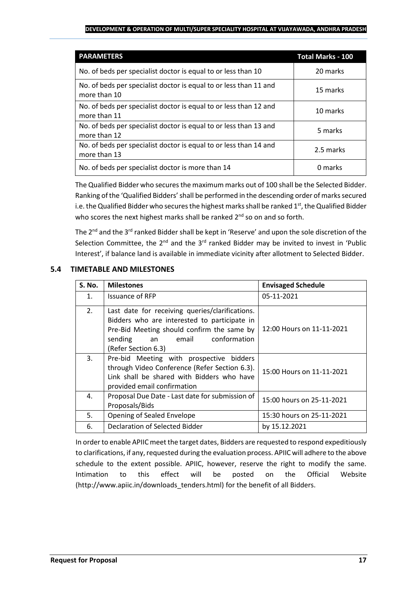#### **DEVELOPMENT & OPERATION OF MULTI/SUPER SPECIALITY HOSPITAL AT VIJAYAWADA, ANDHRA PRADESH**

| <b>PARAMETERS</b>                                                                 | <b>Total Marks - 100</b> |
|-----------------------------------------------------------------------------------|--------------------------|
| No. of beds per specialist doctor is equal to or less than 10                     | 20 marks                 |
| No. of beds per specialist doctor is equal to or less than 11 and<br>more than 10 | 15 marks                 |
| No. of beds per specialist doctor is equal to or less than 12 and<br>more than 11 | 10 marks                 |
| No. of beds per specialist doctor is equal to or less than 13 and<br>more than 12 | 5 marks                  |
| No. of beds per specialist doctor is equal to or less than 14 and<br>more than 13 | 2.5 marks                |
| No. of beds per specialist doctor is more than 14                                 | 0 marks                  |

The Qualified Bidder who secures the maximum marks out of 100 shall be the Selected Bidder. Ranking of the 'Qualified Bidders'shall be performed in the descending order of marks secured i.e. the Qualified Bidder who secures the highest marks shall be ranked 1<sup>st</sup>, the Qualified Bidder who scores the next highest marks shall be ranked 2<sup>nd</sup> so on and so forth.

The  $2^{nd}$  and the  $3^{rd}$  ranked Bidder shall be kept in 'Reserve' and upon the sole discretion of the Selection Committee, the  $2^{nd}$  and the  $3^{rd}$  ranked Bidder may be invited to invest in 'Public Interest', if balance land is available in immediate vicinity after allotment to Selected Bidder.

## **5.4 TIMETABLE AND MILESTONES**

| <b>S. No.</b> | <b>Milestones</b>                                                                                                                                                                                              | <b>Envisaged Schedule</b> |
|---------------|----------------------------------------------------------------------------------------------------------------------------------------------------------------------------------------------------------------|---------------------------|
| 1.            | Issuance of RFP                                                                                                                                                                                                | 05-11-2021                |
| 2.            | Last date for receiving queries/clarifications.<br>Bidders who are interested to participate in<br>Pre-Bid Meeting should confirm the same by<br>conformation<br>sending<br>email<br>an<br>(Refer Section 6.3) | 12:00 Hours on 11-11-2021 |
| 3.            | Pre-bid Meeting with prospective bidders<br>through Video Conference (Refer Section 6.3).<br>Link shall be shared with Bidders who have<br>provided email confirmation                                         | 15:00 Hours on 11-11-2021 |
| 4.            | Proposal Due Date - Last date for submission of<br>Proposals/Bids                                                                                                                                              | 15:00 hours on 25-11-2021 |
| 5.            | Opening of Sealed Envelope                                                                                                                                                                                     | 15:30 hours on 25-11-2021 |
| 6.            | <b>Declaration of Selected Bidder</b>                                                                                                                                                                          | by 15.12.2021             |

In order to enable APIIC meet the target dates, Bidders are requested to respond expeditiously to clarifications, if any, requested during the evaluation process. APIIC will adhere to the above schedule to the extent possible. APIIC, however, reserve the right to modify the same. Intimation to this effect will be posted on the Official Website (http://www.apiic.in/downloads\_tenders.html) for the benefit of all Bidders.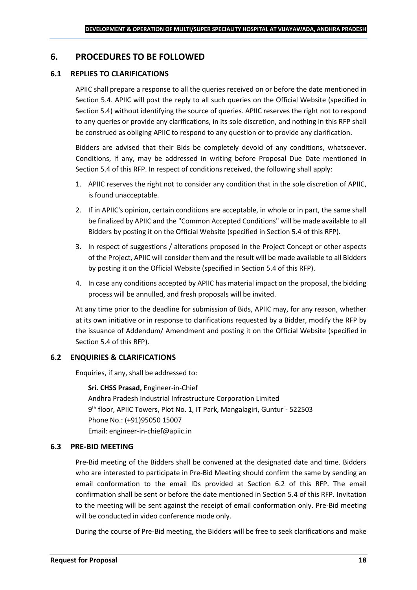## <span id="page-17-0"></span>**6. PROCEDURES TO BE FOLLOWED**

#### **6.1 REPLIES TO CLARIFICATIONS**

APIIC shall prepare a response to all the queries received on or before the date mentioned in Section 5.4. APIIC will post the reply to all such queries on the Official Website (specified in Section 5.4) without identifying the source of queries. APIIC reserves the right not to respond to any queries or provide any clarifications, in its sole discretion, and nothing in this RFP shall be construed as obliging APIIC to respond to any question or to provide any clarification.

Bidders are advised that their Bids be completely devoid of any conditions, whatsoever. Conditions, if any, may be addressed in writing before Proposal Due Date mentioned in Section 5.4 of this RFP. In respect of conditions received, the following shall apply:

- 1. APIIC reserves the right not to consider any condition that in the sole discretion of APIIC, is found unacceptable.
- 2. If in APIIC's opinion, certain conditions are acceptable, in whole or in part, the same shall be finalized by APIIC and the "Common Accepted Conditions" will be made available to all Bidders by posting it on the Official Website (specified in Section 5.4 of this RFP).
- 3. In respect of suggestions / alterations proposed in the Project Concept or other aspects of the Project, APIIC will consider them and the result will be made available to all Bidders by posting it on the Official Website (specified in Section 5.4 of this RFP).
- 4. In case any conditions accepted by APIIC has material impact on the proposal, the bidding process will be annulled, and fresh proposals will be invited.

At any time prior to the deadline for submission of Bids, APIIC may, for any reason, whether at its own initiative or in response to clarifications requested by a Bidder, modify the RFP by the issuance of Addendum/ Amendment and posting it on the Official Website (specified in Section 5.4 of this RFP).

## **6.2 ENQUIRIES & CLARIFICATIONS**

Enquiries, if any, shall be addressed to:

**Sri. CHSS Prasad,** Engineer-in-Chief Andhra Pradesh Industrial Infrastructure Corporation Limited 9 th floor, APIIC Towers, Plot No. 1, IT Park, Mangalagiri, Guntur - 522503 Phone No.: (+91)95050 15007 Email: engineer-in-chief@apiic.in

#### **6.3 PRE-BID MEETING**

Pre-Bid meeting of the Bidders shall be convened at the designated date and time. Bidders who are interested to participate in Pre-Bid Meeting should confirm the same by sending an email conformation to the email IDs provided at Section 6.2 of this RFP. The email confirmation shall be sent or before the date mentioned in Section 5.4 of this RFP. Invitation to the meeting will be sent against the receipt of email conformation only. Pre-Bid meeting will be conducted in video conference mode only.

During the course of Pre-Bid meeting, the Bidders will be free to seek clarifications and make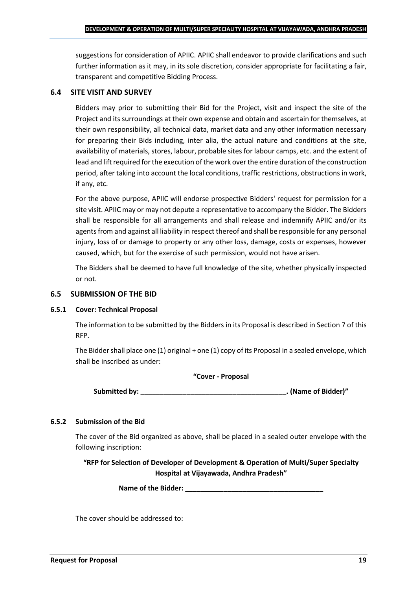suggestions for consideration of APIIC. APIIC shall endeavor to provide clarifications and such further information as it may, in its sole discretion, consider appropriate for facilitating a fair, transparent and competitive Bidding Process.

#### **6.4 SITE VISIT AND SURVEY**

Bidders may prior to submitting their Bid for the Project, visit and inspect the site of the Project and its surroundings at their own expense and obtain and ascertain for themselves, at their own responsibility, all technical data, market data and any other information necessary for preparing their Bids including, inter alia, the actual nature and conditions at the site, availability of materials, stores, labour, probable sites for labour camps, etc. and the extent of lead and lift required for the execution of the work over the entire duration of the construction period, after taking into account the local conditions, traffic restrictions, obstructions in work, if any, etc.

For the above purpose, APIIC will endorse prospective Bidders' request for permission for a site visit. APIIC may or may not depute a representative to accompany the Bidder. The Bidders shall be responsible for all arrangements and shall release and indemnify APIIC and/or its agents from and against all liability in respect thereof and shall be responsible for any personal injury, loss of or damage to property or any other loss, damage, costs or expenses, however caused, which, but for the exercise of such permission, would not have arisen.

The Bidders shall be deemed to have full knowledge of the site, whether physically inspected or not.

#### **6.5 SUBMISSION OF THE BID**

#### **6.5.1 Cover: Technical Proposal**

The information to be submitted by the Bidders in its Proposal is described in Section 7 of this RFP.

The Bidder shall place one (1) original + one (1) copy of its Proposal in a sealed envelope, which shall be inscribed as under:

#### **"Cover - Proposal**

**Submitted by: \_\_\_\_\_\_\_\_\_\_\_\_\_\_\_\_\_\_\_\_\_\_\_\_\_\_\_\_\_\_\_\_\_\_\_\_\_\_. (Name of Bidder)"**

#### **6.5.2 Submission of the Bid**

The cover of the Bid organized as above, shall be placed in a sealed outer envelope with the following inscription:

**"RFP for Selection of Developer of Development & Operation of Multi/Super Specialty Hospital at Vijayawada, Andhra Pradesh"**

Name of the Bidder: **We are also asset to the Bidder**:

The cover should be addressed to: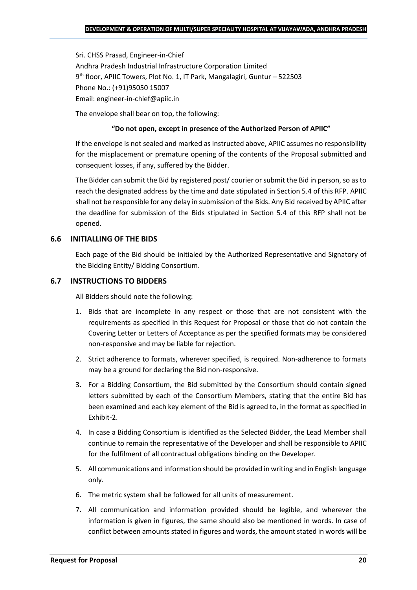Sri. CHSS Prasad, Engineer-in-Chief Andhra Pradesh Industrial Infrastructure Corporation Limited 9 th floor, APIIC Towers, Plot No. 1, IT Park, Mangalagiri, Guntur – 522503 Phone No.: (+91)95050 15007 Email: engineer-in-chief@apiic.in

The envelope shall bear on top, the following:

#### **"Do not open, except in presence of the Authorized Person of APIIC"**

If the envelope is not sealed and marked as instructed above, APIIC assumes no responsibility for the misplacement or premature opening of the contents of the Proposal submitted and consequent losses, if any, suffered by the Bidder.

The Bidder can submit the Bid by registered post/ courier or submit the Bid in person, so as to reach the designated address by the time and date stipulated in Section 5.4 of this RFP. APIIC shall not be responsible for any delay in submission of the Bids. Any Bid received by APIIC after the deadline for submission of the Bids stipulated in Section 5.4 of this RFP shall not be opened.

#### **6.6 INITIALLING OF THE BIDS**

Each page of the Bid should be initialed by the Authorized Representative and Signatory of the Bidding Entity/ Bidding Consortium.

#### **6.7 INSTRUCTIONS TO BIDDERS**

All Bidders should note the following:

- 1. Bids that are incomplete in any respect or those that are not consistent with the requirements as specified in this Request for Proposal or those that do not contain the Covering Letter or Letters of Acceptance as per the specified formats may be considered non-responsive and may be liable for rejection.
- 2. Strict adherence to formats, wherever specified, is required. Non-adherence to formats may be a ground for declaring the Bid non-responsive.
- 3. For a Bidding Consortium, the Bid submitted by the Consortium should contain signed letters submitted by each of the Consortium Members, stating that the entire Bid has been examined and each key element of the Bid is agreed to, in the format as specified in Exhibit-2.
- 4. In case a Bidding Consortium is identified as the Selected Bidder, the Lead Member shall continue to remain the representative of the Developer and shall be responsible to APIIC for the fulfilment of all contractual obligations binding on the Developer.
- 5. All communications and information should be provided in writing and in English language only.
- 6. The metric system shall be followed for all units of measurement.
- 7. All communication and information provided should be legible, and wherever the information is given in figures, the same should also be mentioned in words. In case of conflict between amounts stated in figures and words, the amount stated in words will be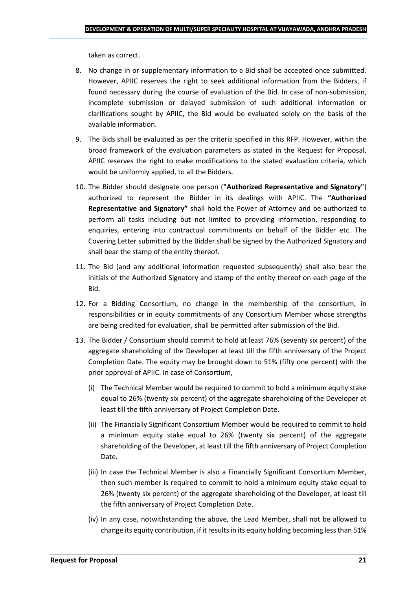taken as correct.

- 8. No change in or supplementary information to a Bid shall be accepted once submitted. However, APIIC reserves the right to seek additional information from the Bidders, if found necessary during the course of evaluation of the Bid. In case of non-submission, incomplete submission or delayed submission of such additional information or clarifications sought by APIIC, the Bid would be evaluated solely on the basis of the available information.
- 9. The Bids shall be evaluated as per the criteria specified in this RFP. However, within the broad framework of the evaluation parameters as stated in the Request for Proposal, APIIC reserves the right to make modifications to the stated evaluation criteria, which would be uniformly applied, to all the Bidders.
- 10. The Bidder should designate one person (**"Authorized Representative and Signatory"**) authorized to represent the Bidder in its dealings with APIIC. The **"Authorized Representative and Signatory"** shall hold the Power of Attorney and be authorized to perform all tasks including but not limited to providing information, responding to enquiries, entering into contractual commitments on behalf of the Bidder etc. The Covering Letter submitted by the Bidder shall be signed by the Authorized Signatory and shall bear the stamp of the entity thereof.
- 11. The Bid (and any additional information requested subsequently) shall also bear the initials of the Authorized Signatory and stamp of the entity thereof on each page of the Bid.
- 12. For a Bidding Consortium, no change in the membership of the consortium, in responsibilities or in equity commitments of any Consortium Member whose strengths are being credited for evaluation, shall be permitted after submission of the Bid.
- 13. The Bidder / Consortium should commit to hold at least 76% (seventy six percent) of the aggregate shareholding of the Developer at least till the fifth anniversary of the Project Completion Date. The equity may be brought down to 51% (fifty one percent) with the prior approval of APIIC. In case of Consortium,
	- (i) The Technical Member would be required to commit to hold a minimum equity stake equal to 26% (twenty six percent) of the aggregate shareholding of the Developer at least till the fifth anniversary of Project Completion Date.
	- (ii) The Financially Significant Consortium Member would be required to commit to hold a minimum equity stake equal to 26% (twenty six percent) of the aggregate shareholding of the Developer, at least till the fifth anniversary of Project Completion Date.
	- (iii) In case the Technical Member is also a Financially Significant Consortium Member, then such member is required to commit to hold a minimum equity stake equal to 26% (twenty six percent) of the aggregate shareholding of the Developer, at least till the fifth anniversary of Project Completion Date.
	- (iv) In any case, notwithstanding the above, the Lead Member, shall not be allowed to change its equity contribution, if it results in its equity holding becoming less than 51%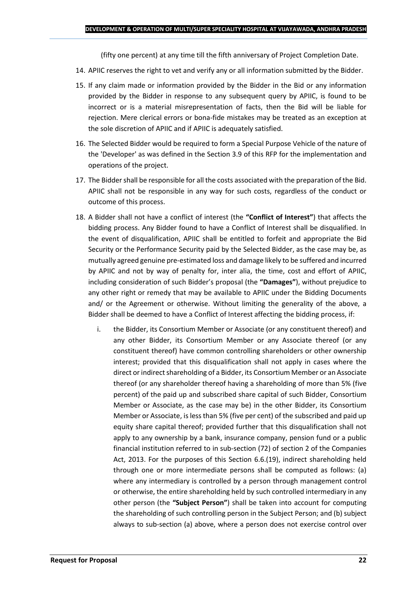(fifty one percent) at any time till the fifth anniversary of Project Completion Date.

- 14. APIIC reserves the right to vet and verify any or all information submitted by the Bidder.
- 15. If any claim made or information provided by the Bidder in the Bid or any information provided by the Bidder in response to any subsequent query by APIIC, is found to be incorrect or is a material misrepresentation of facts, then the Bid will be liable for rejection. Mere clerical errors or bona-fide mistakes may be treated as an exception at the sole discretion of APIIC and if APIIC is adequately satisfied.
- 16. The Selected Bidder would be required to form a Special Purpose Vehicle of the nature of the 'Developer' as was defined in the Section 3.9 of this RFP for the implementation and operations of the project.
- 17. The Bidder shall be responsible for all the costs associated with the preparation of the Bid. APIIC shall not be responsible in any way for such costs, regardless of the conduct or outcome of this process.
- 18. A Bidder shall not have a conflict of interest (the **"Conflict of Interest"**) that affects the bidding process. Any Bidder found to have a Conflict of Interest shall be disqualified. In the event of disqualification, APIIC shall be entitled to forfeit and appropriate the Bid Security or the Performance Security paid by the Selected Bidder, as the case may be, as mutually agreed genuine pre-estimated loss and damage likely to be suffered and incurred by APIIC and not by way of penalty for, inter alia, the time, cost and effort of APIIC, including consideration of such Bidder's proposal (the **"Damages"**), without prejudice to any other right or remedy that may be available to APIIC under the Bidding Documents and/ or the Agreement or otherwise. Without limiting the generality of the above, a Bidder shall be deemed to have a Conflict of Interest affecting the bidding process, if:
	- i. the Bidder, its Consortium Member or Associate (or any constituent thereof) and any other Bidder, its Consortium Member or any Associate thereof (or any constituent thereof) have common controlling shareholders or other ownership interest; provided that this disqualification shall not apply in cases where the direct or indirect shareholding of a Bidder, its Consortium Member or an Associate thereof (or any shareholder thereof having a shareholding of more than 5% (five percent) of the paid up and subscribed share capital of such Bidder, Consortium Member or Associate, as the case may be) in the other Bidder, its Consortium Member or Associate, is less than 5% (five per cent) of the subscribed and paid up equity share capital thereof; provided further that this disqualification shall not apply to any ownership by a bank, insurance company, pension fund or a public financial institution referred to in sub-section (72) of section 2 of the Companies Act, 2013. For the purposes of this Section 6.6.(19), indirect shareholding held through one or more intermediate persons shall be computed as follows: (a) where any intermediary is controlled by a person through management control or otherwise, the entire shareholding held by such controlled intermediary in any other person (the **"Subject Person"**) shall be taken into account for computing the shareholding of such controlling person in the Subject Person; and (b) subject always to sub-section (a) above, where a person does not exercise control over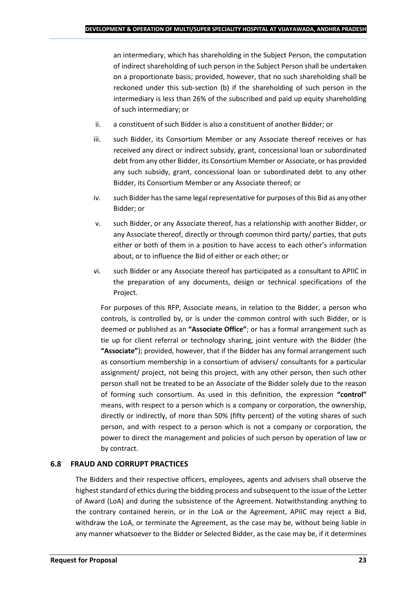an intermediary, which has shareholding in the Subject Person, the computation of indirect shareholding of such person in the Subject Person shall be undertaken on a proportionate basis; provided, however, that no such shareholding shall be reckoned under this sub-section (b) if the shareholding of such person in the intermediary is less than 26% of the subscribed and paid up equity shareholding of such intermediary; or

- ii. a constituent of such Bidder is also a constituent of another Bidder; or
- iii. such Bidder, its Consortium Member or any Associate thereof receives or has received any direct or indirect subsidy, grant, concessional loan or subordinated debt from any other Bidder, its Consortium Member or Associate, or has provided any such subsidy, grant, concessional loan or subordinated debt to any other Bidder, its Consortium Member or any Associate thereof; or
- iv. such Bidder has the same legal representative for purposes of this Bid as any other Bidder; or
- v. such Bidder, or any Associate thereof, has a relationship with another Bidder, or any Associate thereof, directly or through common third party/ parties, that puts either or both of them in a position to have access to each other's information about, or to influence the Bid of either or each other; or
- vi. such Bidder or any Associate thereof has participated as a consultant to APIIC in the preparation of any documents, design or technical specifications of the Project.

For purposes of this RFP, Associate means, in relation to the Bidder, a person who controls, is controlled by, or is under the common control with such Bidder, or is deemed or published as an **"Associate Office"**; or has a formal arrangement such as tie up for client referral or technology sharing, joint venture with the Bidder (the **"Associate"**); provided, however, that if the Bidder has any formal arrangement such as consortium membership in a consortium of advisers/ consultants for a particular assignment/ project, not being this project, with any other person, then such other person shall not be treated to be an Associate of the Bidder solely due to the reason of forming such consortium. As used in this definition, the expression **"control"**  means, with respect to a person which is a company or corporation, the ownership, directly or indirectly, of more than 50% (fifty percent) of the voting shares of such person, and with respect to a person which is not a company or corporation, the power to direct the management and policies of such person by operation of law or by contract.

## **6.8 FRAUD AND CORRUPT PRACTICES**

The Bidders and their respective officers, employees, agents and advisers shall observe the highest standard of ethics during the bidding process and subsequent to the issue of the Letter of Award (LoA) and during the subsistence of the Agreement. Notwithstanding anything to the contrary contained herein, or in the LoA or the Agreement, APIIC may reject a Bid, withdraw the LoA, or terminate the Agreement, as the case may be, without being liable in any manner whatsoever to the Bidder or Selected Bidder, as the case may be, if it determines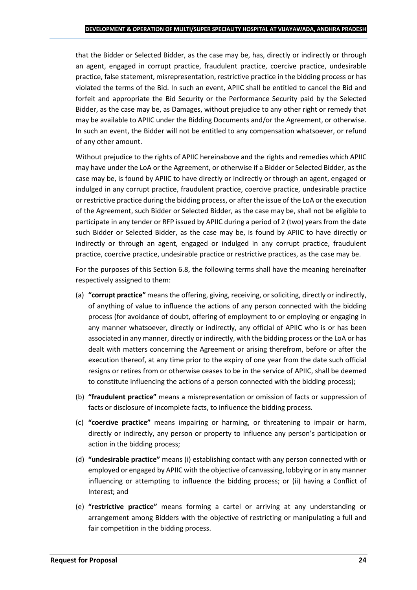that the Bidder or Selected Bidder, as the case may be, has, directly or indirectly or through an agent, engaged in corrupt practice, fraudulent practice, coercive practice, undesirable practice, false statement, misrepresentation, restrictive practice in the bidding process or has violated the terms of the Bid. In such an event, APIIC shall be entitled to cancel the Bid and forfeit and appropriate the Bid Security or the Performance Security paid by the Selected Bidder, as the case may be, as Damages, without prejudice to any other right or remedy that may be available to APIIC under the Bidding Documents and/or the Agreement, or otherwise. In such an event, the Bidder will not be entitled to any compensation whatsoever, or refund of any other amount.

Without prejudice to the rights of APIIC hereinabove and the rights and remedies which APIIC may have under the LoA or the Agreement, or otherwise if a Bidder or Selected Bidder, as the case may be, is found by APIIC to have directly or indirectly or through an agent, engaged or indulged in any corrupt practice, fraudulent practice, coercive practice, undesirable practice or restrictive practice during the bidding process, or after the issue of the LoA or the execution of the Agreement, such Bidder or Selected Bidder, as the case may be, shall not be eligible to participate in any tender or RFP issued by APIIC during a period of 2 (two) years from the date such Bidder or Selected Bidder, as the case may be, is found by APIIC to have directly or indirectly or through an agent, engaged or indulged in any corrupt practice, fraudulent practice, coercive practice, undesirable practice or restrictive practices, as the case may be.

For the purposes of this Section 6.8, the following terms shall have the meaning hereinafter respectively assigned to them:

- (a) **"corrupt practice"** means the offering, giving, receiving, or soliciting, directly or indirectly, of anything of value to influence the actions of any person connected with the bidding process (for avoidance of doubt, offering of employment to or employing or engaging in any manner whatsoever, directly or indirectly, any official of APIIC who is or has been associated in any manner, directly or indirectly, with the bidding process or the LoA or has dealt with matters concerning the Agreement or arising therefrom, before or after the execution thereof, at any time prior to the expiry of one year from the date such official resigns or retires from or otherwise ceases to be in the service of APIIC, shall be deemed to constitute influencing the actions of a person connected with the bidding process);
- (b) **"fraudulent practice"** means a misrepresentation or omission of facts or suppression of facts or disclosure of incomplete facts, to influence the bidding process.
- (c) **"coercive practice"** means impairing or harming, or threatening to impair or harm, directly or indirectly, any person or property to influence any person's participation or action in the bidding process;
- (d) **"undesirable practice"** means (i) establishing contact with any person connected with or employed or engaged by APIIC with the objective of canvassing, lobbying or in any manner influencing or attempting to influence the bidding process; or (ii) having a Conflict of Interest; and
- (e) **"restrictive practice"** means forming a cartel or arriving at any understanding or arrangement among Bidders with the objective of restricting or manipulating a full and fair competition in the bidding process.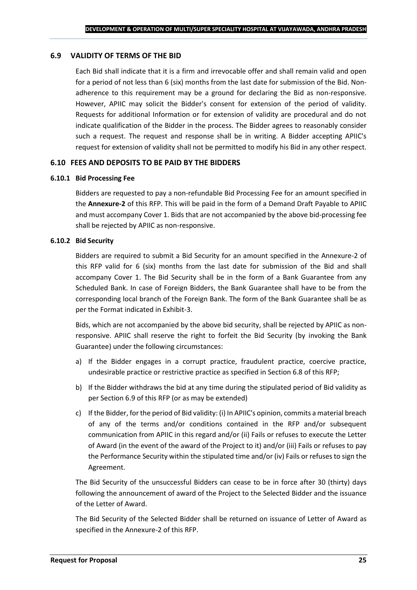#### **6.9 VALIDITY OF TERMS OF THE BID**

Each Bid shall indicate that it is a firm and irrevocable offer and shall remain valid and open for a period of not less than 6 (six) months from the last date for submission of the Bid. Nonadherence to this requirement may be a ground for declaring the Bid as non-responsive. However, APIIC may solicit the Bidder's consent for extension of the period of validity. Requests for additional Information or for extension of validity are procedural and do not indicate qualification of the Bidder in the process. The Bidder agrees to reasonably consider such a request. The request and response shall be in writing. A Bidder accepting APIIC's request for extension of validity shall not be permitted to modify his Bid in any other respect.

#### **6.10 FEES AND DEPOSITS TO BE PAID BY THE BIDDERS**

#### **6.10.1 Bid Processing Fee**

Bidders are requested to pay a non-refundable Bid Processing Fee for an amount specified in the **Annexure-2** of this RFP. This will be paid in the form of a Demand Draft Payable to APIIC and must accompany Cover 1. Bids that are not accompanied by the above bid-processing fee shall be rejected by APIIC as non-responsive.

#### **6.10.2 Bid Security**

Bidders are required to submit a Bid Security for an amount specified in the Annexure-2 of this RFP valid for 6 (six) months from the last date for submission of the Bid and shall accompany Cover 1. The Bid Security shall be in the form of a Bank Guarantee from any Scheduled Bank. In case of Foreign Bidders, the Bank Guarantee shall have to be from the corresponding local branch of the Foreign Bank. The form of the Bank Guarantee shall be as per the Format indicated in Exhibit-3.

Bids, which are not accompanied by the above bid security, shall be rejected by APIIC as nonresponsive. APIIC shall reserve the right to forfeit the Bid Security (by invoking the Bank Guarantee) under the following circumstances:

- a) If the Bidder engages in a corrupt practice, fraudulent practice, coercive practice, undesirable practice or restrictive practice as specified in Section 6.8 of this RFP;
- b) If the Bidder withdraws the bid at any time during the stipulated period of Bid validity as per Section 6.9 of this RFP (or as may be extended)
- c) If the Bidder, for the period of Bid validity: (i) In APIIC's opinion, commits a material breach of any of the terms and/or conditions contained in the RFP and/or subsequent communication from APIIC in this regard and/or (ii) Fails or refuses to execute the Letter of Award (in the event of the award of the Project to it) and/or (iii) Fails or refuses to pay the Performance Security within the stipulated time and/or (iv) Fails or refuses to sign the Agreement.

The Bid Security of the unsuccessful Bidders can cease to be in force after 30 (thirty) days following the announcement of award of the Project to the Selected Bidder and the issuance of the Letter of Award.

The Bid Security of the Selected Bidder shall be returned on issuance of Letter of Award as specified in the Annexure-2 of this RFP.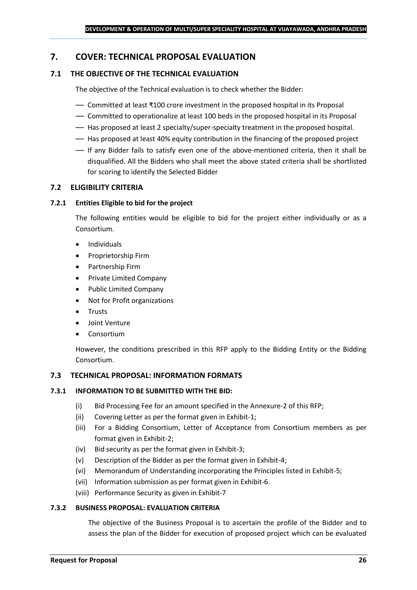## <span id="page-25-0"></span>**7. COVER: TECHNICAL PROPOSAL EVALUATION**

## **7.1 THE OBJECTIVE OF THE TECHNICAL EVALUATION**

The objective of the Technical evaluation is to check whether the Bidder:

- Committed at least ₹100 crore investment in the proposed hospital in its Proposal
- Committed to operationalize at least 100 beds in the proposed hospital in its Proposal
- Has proposed at least 2 specialty/super-specialty treatment in the proposed hospital.
- Has proposed at least 40% equity contribution in the financing of the proposed project
- If any Bidder fails to satisfy even one of the above-mentioned criteria, then it shall be disqualified. All the Bidders who shall meet the above stated criteria shall be shortlisted for scoring to identify the Selected Bidder

## **7.2 ELIGIBILITY CRITERIA**

#### **7.2.1 Entities Eligible to bid for the project**

The following entities would be eligible to bid for the project either individually or as a Consortium.

- Individuals
- Proprietorship Firm
- Partnership Firm
- Private Limited Company
- Public Limited Company
- Not for Profit organizations
- Trusts
- Joint Venture
- **Consortium**

However, the conditions prescribed in this RFP apply to the Bidding Entity or the Bidding Consortium.

#### **7.3 TECHNICAL PROPOSAL: INFORMATION FORMATS**

#### **7.3.1 INFORMATION TO BE SUBMITTED WITH THE BID:**

- (i) Bid Processing Fee for an amount specified in the Annexure-2 of this RFP;
- (ii) Covering Letter as per the format given in Exhibit-1;
- (iii) For a Bidding Consortium, Letter of Acceptance from Consortium members as per format given in Exhibit-2;
- (iv) Bid security as per the format given in Exhibit-3;
- (v) Description of the Bidder as per the format given in Exhibit-4;
- (vi) Memorandum of Understanding incorporating the Principles listed in Exhibit-5;
- (vii) Information submission as per format given in Exhibit-6.
- (viii) Performance Security as given in Exhibit-7

#### **7.3.2 BUSINESS PROPOSAL: EVALUATION CRITERIA**

The objective of the Business Proposal is to ascertain the profile of the Bidder and to assess the plan of the Bidder for execution of proposed project which can be evaluated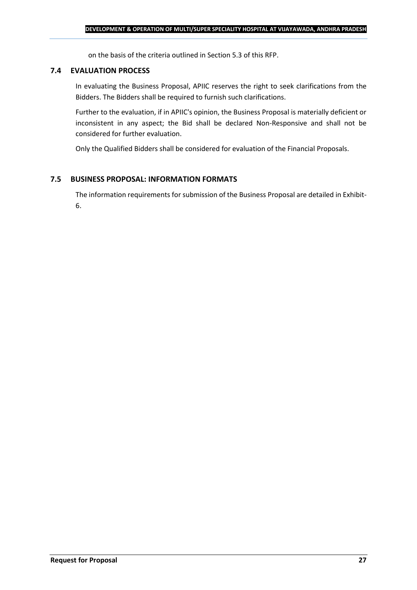on the basis of the criteria outlined in Section 5.3 of this RFP.

#### **7.4 EVALUATION PROCESS**

In evaluating the Business Proposal, APIIC reserves the right to seek clarifications from the Bidders. The Bidders shall be required to furnish such clarifications.

Further to the evaluation, if in APIIC's opinion, the Business Proposal is materially deficient or inconsistent in any aspect; the Bid shall be declared Non-Responsive and shall not be considered for further evaluation.

Only the Qualified Bidders shall be considered for evaluation of the Financial Proposals.

## **7.5 BUSINESS PROPOSAL: INFORMATION FORMATS**

The information requirements for submission of the Business Proposal are detailed in Exhibit-6.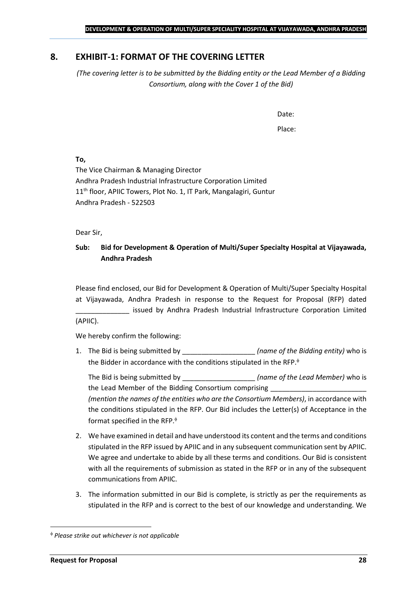## <span id="page-27-0"></span>**8. EXHIBIT-1: FORMAT OF THE COVERING LETTER**

*(The covering letter is to be submitted by the Bidding entity or the Lead Member of a Bidding Consortium, along with the Cover 1 of the Bid)*

Date:

Place:

**To,**

The Vice Chairman & Managing Director Andhra Pradesh Industrial Infrastructure Corporation Limited 11<sup>th</sup> floor, APIIC Towers, Plot No. 1, IT Park, Mangalagiri, Guntur Andhra Pradesh - 522503

Dear Sir,

## **Sub: Bid for Development & Operation of Multi/Super Specialty Hospital at Vijayawada, Andhra Pradesh**

Please find enclosed, our Bid for Development & Operation of Multi/Super Specialty Hospital at Vijayawada, Andhra Pradesh in response to the Request for Proposal (RFP) dated issued by Andhra Pradesh Industrial Infrastructure Corporation Limited (APIIC).

We hereby confirm the following:

1. The Bid is being submitted by **the intervalle in the Sidding entity**) who is the Bidder in accordance with the conditions stipulated in the RFP.

The Bid is being submitted by **the inclusive in the Solution Contract Contract Contract Contract Contract Contract Contract Contract Contract Contract Contract Contract Contract Contract Contract Contract Contract Contract** the Lead Member of the Bidding Consortium comprising *(mention the names of the entities who are the Consortium Members)*, in accordance with the conditions stipulated in the RFP. Our Bid includes the Letter(s) of Acceptance in the format specified in the RFP.

- 2. We have examined in detail and have understood its content and the terms and conditions stipulated in the RFP issued by APIIC and in any subsequent communication sent by APIIC. We agree and undertake to abide by all these terms and conditions. Our Bid is consistent with all the requirements of submission as stated in the RFP or in any of the subsequent communications from APIIC.
- 3. The information submitted in our Bid is complete, is strictly as per the requirements as stipulated in the RFP and is correct to the best of our knowledge and understanding. We

*Please strike out whichever is not applicable*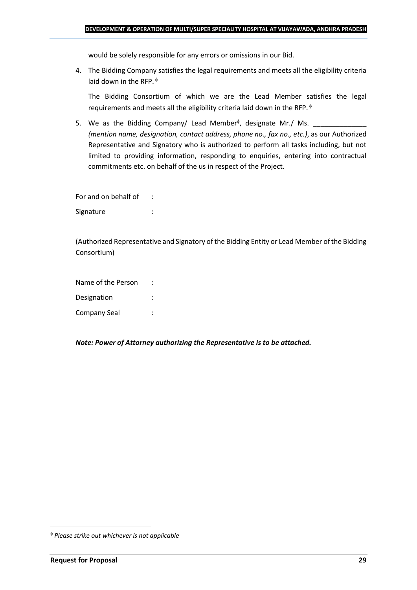would be solely responsible for any errors or omissions in our Bid.

4. The Bidding Company satisfies the legal requirements and meets all the eligibility criteria laid down in the RFP.  $\phi$ 

The Bidding Consortium of which we are the Lead Member satisfies the legal requirements and meets all the eligibility criteria laid down in the RFP.

5. We as the Bidding Company/ Lead Member<sup> $\phi$ </sup>, designate Mr./ Ms.  $\frac{1}{\sqrt{1-\frac{1}{2}}\sqrt{1-\frac{1}{2}}\sqrt{1-\frac{1}{2}}\sqrt{1-\frac{1}{2}}\sqrt{1-\frac{1}{2}}\sqrt{1-\frac{1}{2}}\sqrt{1-\frac{1}{2}}\sqrt{1-\frac{1}{2}}\sqrt{1-\frac{1}{2}}\sqrt{1-\frac{1}{2}}\sqrt{1-\frac{1}{2}}\sqrt{1-\frac{1}{2}}\sqrt{1-\frac{1}{2}}\sqrt{1$ *(mention name, designation, contact address, phone no., fax no., etc.)*, as our Authorized Representative and Signatory who is authorized to perform all tasks including, but not limited to providing information, responding to enquiries, entering into contractual commitments etc. on behalf of the us in respect of the Project.

For and on behalf of : Signature : the state of the state of the state of the state of the state of the state of the state of the state of the state of the state of the state of the state of the state of the state of the state of the state of th

(Authorized Representative and Signatory of the Bidding Entity or Lead Member of the Bidding Consortium)

Name of the Person : Designation : Company Seal :

*Note: Power of Attorney authorizing the Representative is to be attached.*

*Please strike out whichever is not applicable*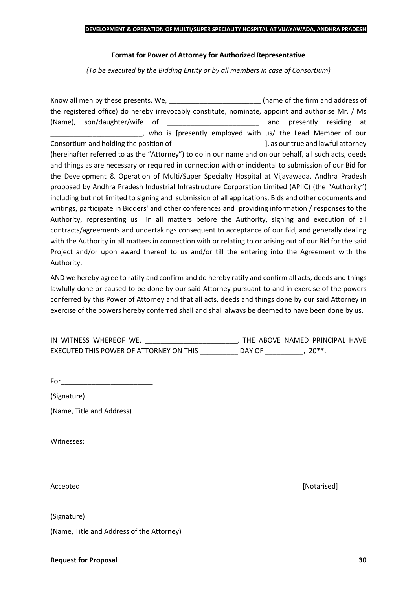#### **Format for Power of Attorney for Authorized Representative**

*(To be executed by the Bidding Entity or by all members in case of Consortium)*

Know all men by these presents, We, the state of the firm and address of the registered office) do hereby irrevocably constitute, nominate, appoint and authorise Mr. / Ms (Name), son/daughter/wife of \_\_\_\_\_\_\_\_\_\_\_\_\_\_\_\_\_\_\_\_\_\_\_\_ and presently residing at who is [presently employed with us/ the Lead Member of our Consortium and holding the position of  $\Box$  . The position of  $\Box$  as our true and lawful attorney (hereinafter referred to as the "Attorney") to do in our name and on our behalf, all such acts, deeds and things as are necessary or required in connection with or incidental to submission of our Bid for the Development & Operation of Multi/Super Specialty Hospital at Vijayawada, Andhra Pradesh proposed by Andhra Pradesh Industrial Infrastructure Corporation Limited (APIIC) (the "Authority") including but not limited to signing and submission of all applications, Bids and other documents and writings, participate in Bidders' and other conferences and providing information / responses to the Authority, representing us in all matters before the Authority, signing and execution of all contracts/agreements and undertakings consequent to acceptance of our Bid, and generally dealing with the Authority in all matters in connection with or relating to or arising out of our Bid for the said Project and/or upon award thereof to us and/or till the entering into the Agreement with the Authority.

AND we hereby agree to ratify and confirm and do hereby ratify and confirm all acts, deeds and things lawfully done or caused to be done by our said Attorney pursuant to and in exercise of the powers conferred by this Power of Attorney and that all acts, deeds and things done by our said Attorney in exercise of the powers hereby conferred shall and shall always be deemed to have been done by us.

| IN WITNESS WHEREOF WE,                  |        | THE ABOVE NAMED PRINCIPAL HAVE |  |
|-----------------------------------------|--------|--------------------------------|--|
| EXECUTED THIS POWER OF ATTORNEY ON THIS | DAY OF | $20**$                         |  |

For  $\Box$ 

(Signature)

(Name, Title and Address)

Witnesses:

Accepted [Notarised]

(Signature)

(Name, Title and Address of the Attorney)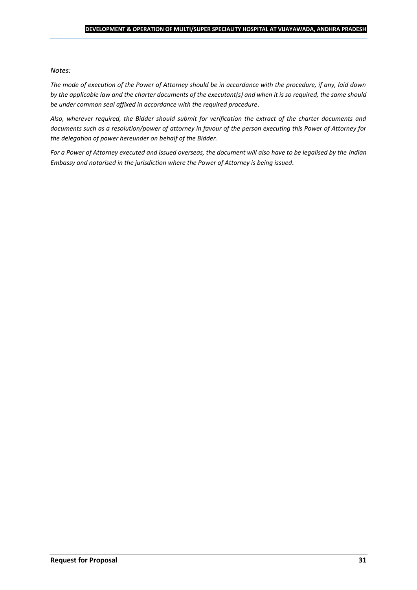#### *Notes:*

*The mode of execution of the Power of Attorney should be in accordance with the procedure, if any, laid down by the applicable law and the charter documents of the executant(s) and when it is so required, the same should be under common seal affixed in accordance with the required procedure*.

*Also, wherever required, the Bidder should submit for verification the extract of the charter documents and documents such as a resolution/power of attorney in favour of the person executing this Power of Attorney for the delegation of power hereunder on behalf of the Bidder.* 

For a Power of Attorney executed and issued overseas, the document will also have to be legalised by the *Indian Embassy and notarised in the jurisdiction where the Power of Attorney is being issued.*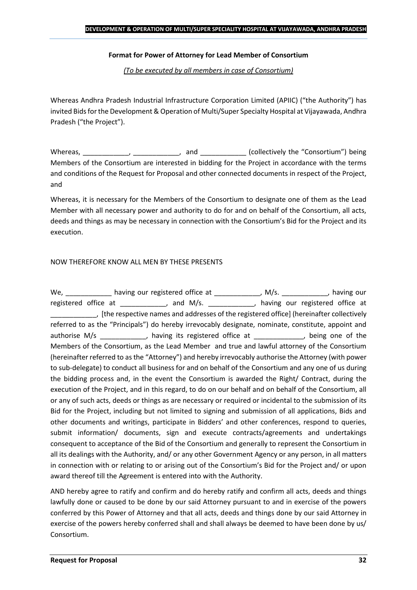#### **Format for Power of Attorney for Lead Member of Consortium**

*(To be executed by all members in case of Consortium)*

Whereas Andhra Pradesh Industrial Infrastructure Corporation Limited (APIIC) ("the Authority") has invited Bids for the Development & Operation of Multi/Super Specialty Hospital at Vijayawada, Andhra Pradesh ("the Project").

Whereas, \_\_\_\_\_\_\_\_\_\_\_\_, \_\_\_\_\_\_\_\_\_\_\_, and \_\_\_\_\_\_\_\_\_\_\_\_ (collectively the "Consortium") being Members of the Consortium are interested in bidding for the Project in accordance with the terms and conditions of the Request for Proposal and other connected documents in respect of the Project, and

Whereas, it is necessary for the Members of the Consortium to designate one of them as the Lead Member with all necessary power and authority to do for and on behalf of the Consortium, all acts, deeds and things as may be necessary in connection with the Consortium's Bid for the Project and its execution.

#### NOW THEREFORE KNOW ALL MEN BY THESE PRESENTS

We, \_\_\_\_\_\_\_\_\_\_\_\_\_ having our registered office at \_\_\_\_\_\_\_\_\_\_\_\_\_, M/s. \_\_\_\_\_\_\_\_\_\_\_, having our registered office at \_\_\_\_\_\_\_\_\_\_\_, and M/s. \_\_\_\_\_\_\_\_\_\_\_, having our registered office at \_\_\_\_\_\_\_\_\_\_\_\_, [the respective names and addresses of the registered office] (hereinafter collectively referred to as the "Principals") do hereby irrevocably designate, nominate, constitute, appoint and authorise M/s \_\_\_\_\_\_\_\_\_\_\_, having its registered office at \_\_\_\_\_\_\_, being one of the Members of the Consortium, as the Lead Member and true and lawful attorney of the Consortium (hereinafter referred to as the "Attorney") and hereby irrevocably authorise the Attorney (with power to sub-delegate) to conduct all business for and on behalf of the Consortium and any one of us during the bidding process and, in the event the Consortium is awarded the Right/ Contract, during the execution of the Project, and in this regard, to do on our behalf and on behalf of the Consortium, all or any of such acts, deeds or things as are necessary or required or incidental to the submission of its Bid for the Project, including but not limited to signing and submission of all applications, Bids and other documents and writings, participate in Bidders' and other conferences, respond to queries, submit information/ documents, sign and execute contracts/agreements and undertakings consequent to acceptance of the Bid of the Consortium and generally to represent the Consortium in all its dealings with the Authority, and/ or any other Government Agency or any person, in all matters in connection with or relating to or arising out of the Consortium's Bid for the Project and/ or upon award thereof till the Agreement is entered into with the Authority.

AND hereby agree to ratify and confirm and do hereby ratify and confirm all acts, deeds and things lawfully done or caused to be done by our said Attorney pursuant to and in exercise of the powers conferred by this Power of Attorney and that all acts, deeds and things done by our said Attorney in exercise of the powers hereby conferred shall and shall always be deemed to have been done by us/ Consortium.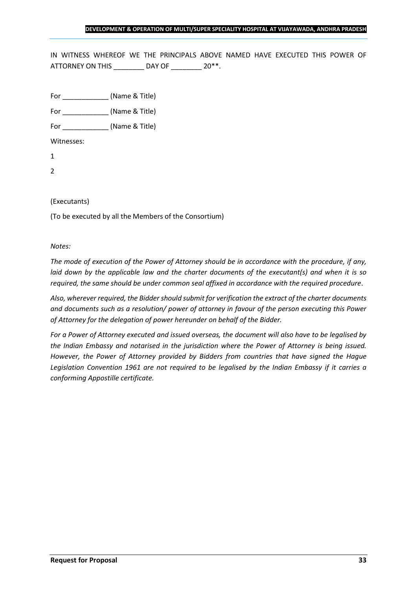IN WITNESS WHEREOF WE THE PRINCIPALS ABOVE NAMED HAVE EXECUTED THIS POWER OF ATTORNEY ON THIS \_\_\_\_\_\_\_\_ DAY OF \_\_\_\_\_\_\_ 20\*\*.

For \_\_\_\_\_\_\_\_\_\_\_\_ (Name & Title)

For  $(Name & Title)$ 

Witnesses:

1

2

#### (Executants)

(To be executed by all the Members of the Consortium)

#### *Notes:*

*The mode of execution of the Power of Attorney should be in accordance with the procedure, if any, laid down by the applicable law and the charter documents of the executant(s) and when it is so required, the same should be under common seal affixed in accordance with the required procedure*.

*Also, wherever required, the Bidder should submit for verification the extract of the charter documents and documents such as a resolution/ power of attorney in favour of the person executing this Power of Attorney for the delegation of power hereunder on behalf of the Bidder.* 

*For a Power of Attorney executed and issued overseas, the document will also have to be legalised by the Indian Embassy and notarised in the jurisdiction where the Power of Attorney is being issued. However, the Power of Attorney provided by Bidders from countries that have signed the Hague Legislation Convention 1961 are not required to be legalised by the Indian Embassy if it carries a conforming Appostille certificate.*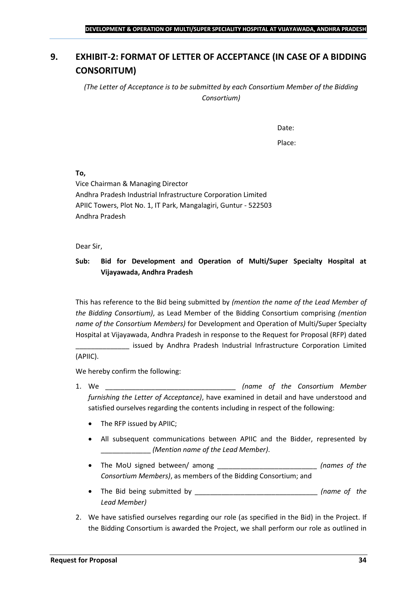## <span id="page-33-0"></span>**9. EXHIBIT-2: FORMAT OF LETTER OF ACCEPTANCE (IN CASE OF A BIDDING CONSORITUM)**

*(The Letter of Acceptance is to be submitted by each Consortium Member of the Bidding Consortium)*

Date:

Place:

**To,**

Vice Chairman & Managing Director Andhra Pradesh Industrial Infrastructure Corporation Limited APIIC Towers, Plot No. 1, IT Park, Mangalagiri, Guntur - 522503 Andhra Pradesh

Dear Sir,

## **Sub: Bid for Development and Operation of Multi/Super Specialty Hospital at Vijayawada, Andhra Pradesh**

This has reference to the Bid being submitted by *(mention the name of the Lead Member of the Bidding Consortium)*, as Lead Member of the Bidding Consortium comprising *(mention name of the Consortium Members)* for Development and Operation of Multi/Super Specialty Hospital at Vijayawada, Andhra Pradesh in response to the Request for Proposal (RFP) dated

issued by Andhra Pradesh Industrial Infrastructure Corporation Limited (APIIC).

We hereby confirm the following:

- 1. We \_\_\_\_\_\_\_\_\_\_\_\_\_\_\_\_\_\_\_\_\_\_\_\_\_\_\_\_\_\_\_\_\_\_ *(name of the Consortium Member furnishing the Letter of Acceptance)*, have examined in detail and have understood and satisfied ourselves regarding the contents including in respect of the following:
	- The RFP issued by APIIC;
	- All subsequent communications between APIIC and the Bidder, represented by \_\_\_\_\_\_\_\_\_\_\_\_\_ *(Mention name of the Lead Member)*.
	- The MoU signed between/ among \_\_\_\_\_\_\_\_\_\_\_\_\_\_\_\_\_\_\_\_\_\_\_\_\_\_ *(names of the Consortium Members)*, as members of the Bidding Consortium; and
	- The Bid being submitted by \_\_\_\_\_\_\_\_\_\_\_\_\_\_\_\_\_\_\_\_\_\_\_\_\_\_\_\_\_\_\_\_ *(name of the Lead Member)*
- 2. We have satisfied ourselves regarding our role (as specified in the Bid) in the Project. If the Bidding Consortium is awarded the Project, we shall perform our role as outlined in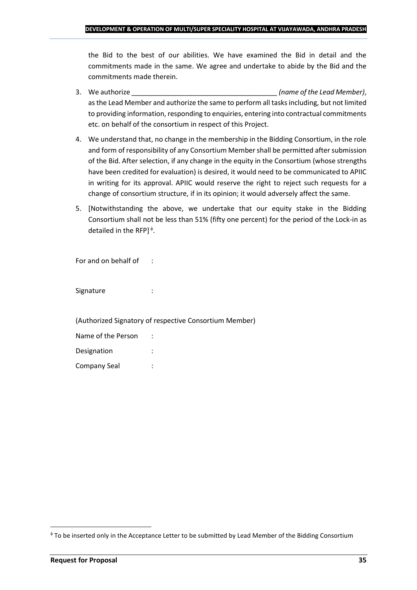the Bid to the best of our abilities. We have examined the Bid in detail and the commitments made in the same. We agree and undertake to abide by the Bid and the commitments made therein.

- 3. We authorize \_\_\_\_\_\_\_\_\_\_\_\_\_\_\_\_\_\_\_\_\_\_\_\_\_\_\_\_\_\_\_\_\_\_\_\_\_\_ *(name of the Lead Member)*, as the Lead Member and authorize the same to perform all tasks including, but not limited to providing information, responding to enquiries, entering into contractual commitments etc. on behalf of the consortium in respect of this Project.
- 4. We understand that, no change in the membership in the Bidding Consortium, in the role and form of responsibility of any Consortium Member shall be permitted after submission of the Bid. After selection, if any change in the equity in the Consortium (whose strengths have been credited for evaluation) is desired, it would need to be communicated to APIIC in writing for its approval. APIIC would reserve the right to reject such requests for a change of consortium structure, if in its opinion; it would adversely affect the same.
- 5. [Notwithstanding the above, we undertake that our equity stake in the Bidding Consortium shall not be less than 51% (fifty one percent) for the period of the Lock-in as detailed in the RFP] $\triangleq$ .

For and on behalf of :

Signature : :

(Authorized Signatory of respective Consortium Member)

| Name of the Person |  |
|--------------------|--|
| Designation        |  |
| Company Seal       |  |

To be inserted only in the Acceptance Letter to be submitted by Lead Member of the Bidding Consortium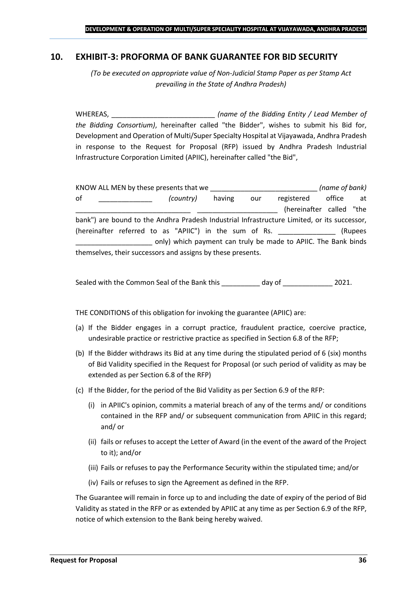### <span id="page-35-0"></span>**10. EXHIBIT-3: PROFORMA OF BANK GUARANTEE FOR BID SECURITY**

*(To be executed on appropriate value of Non-Judicial Stamp Paper as per Stamp Act prevailing in the State of Andhra Pradesh)*

WHEREAS, \_\_\_\_\_\_\_\_\_\_\_\_\_\_\_\_\_\_\_\_\_\_\_\_\_\_\_ *(name of the Bidding Entity / Lead Member of the Bidding Consortium)*, hereinafter called "the Bidder", wishes to submit his Bid for, Development and Operation of Multi/Super Specialty Hospital at Vijayawada, Andhra Pradesh in response to the Request for Proposal (RFP) issued by Andhra Pradesh Industrial Infrastructure Corporation Limited (APIIC), hereinafter called "the Bid",

|    | KNOW ALL MEN by these presents that we                      |        |     |                                                                                             | (name of bank) |         |
|----|-------------------------------------------------------------|--------|-----|---------------------------------------------------------------------------------------------|----------------|---------|
| 0f | (country)                                                   | having | our | registered                                                                                  | office         | at      |
|    |                                                             |        |     | (hereinafter called "the                                                                    |                |         |
|    |                                                             |        |     | bank") are bound to the Andhra Pradesh Industrial Infrastructure Limited, or its successor, |                |         |
|    | (hereinafter referred to as "APIIC") in the sum of Rs.      |        |     |                                                                                             |                | (Rupees |
|    |                                                             |        |     | only) which payment can truly be made to APIIC. The Bank binds                              |                |         |
|    | themselves, their successors and assigns by these presents. |        |     |                                                                                             |                |         |

Sealed with the Common Seal of the Bank this day of  $\qquad \qquad$  2021.

THE CONDITIONS of this obligation for invoking the guarantee (APIIC) are:

- (a) If the Bidder engages in a corrupt practice, fraudulent practice, coercive practice, undesirable practice or restrictive practice as specified in Section 6.8 of the RFP;
- (b) If the Bidder withdraws its Bid at any time during the stipulated period of 6 (six) months of Bid Validity specified in the Request for Proposal (or such period of validity as may be extended as per Section 6.8 of the RFP)
- (c) If the Bidder, for the period of the Bid Validity as per Section 6.9 of the RFP:
	- (i) in APIIC's opinion, commits a material breach of any of the terms and/ or conditions contained in the RFP and/ or subsequent communication from APIIC in this regard; and/ or
	- (ii) fails or refuses to accept the Letter of Award (in the event of the award of the Project to it); and/or
	- (iii) Fails or refuses to pay the Performance Security within the stipulated time; and/or
	- (iv) Fails or refuses to sign the Agreement as defined in the RFP.

The Guarantee will remain in force up to and including the date of expiry of the period of Bid Validity as stated in the RFP or as extended by APIIC at any time as per Section 6.9 of the RFP, notice of which extension to the Bank being hereby waived.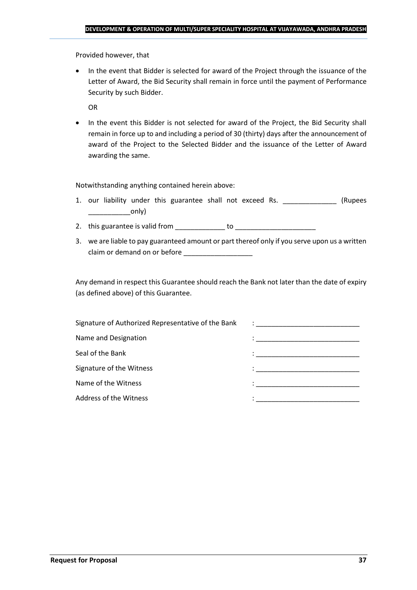Provided however, that

• In the event that Bidder is selected for award of the Project through the issuance of the Letter of Award, the Bid Security shall remain in force until the payment of Performance Security by such Bidder.

OR

• In the event this Bidder is not selected for award of the Project, the Bid Security shall remain in force up to and including a period of 30 (thirty) days after the announcement of award of the Project to the Selected Bidder and the issuance of the Letter of Award awarding the same.

Notwithstanding anything contained herein above:

- 1. our liability under this guarantee shall not exceed Rs. \_\_\_\_\_\_\_\_\_\_\_\_\_\_\_ (Rupees  $\begin{array}{c} \begin{array}{c} \begin{array}{c} \end{array} \end{array}$
- 2. this guarantee is valid from to be to to to the state of the state of the state of the state of the state o
- 3. we are liable to pay guaranteed amount or part thereof only if you serve upon us a written claim or demand on or before

Any demand in respect this Guarantee should reach the Bank not later than the date of expiry (as defined above) of this Guarantee.

| Signature of Authorized Representative of the Bank | $\mathcal{L}=\frac{1}{\sqrt{2\pi}}\left\{ \frac{1}{\sqrt{2\pi}}\right\}$                                                              |
|----------------------------------------------------|---------------------------------------------------------------------------------------------------------------------------------------|
| Name and Designation                               | the contract of the contract of the contract of the contract of the contract of the contract of                                       |
| Seal of the Bank                                   | the control of the control of the control of the control of the control of                                                            |
| Signature of the Witness                           |                                                                                                                                       |
| Name of the Witness                                | en de la componentación de la componentación de la componentación de la componentación de la componentación de<br>A la componentación |
| Address of the Witness                             |                                                                                                                                       |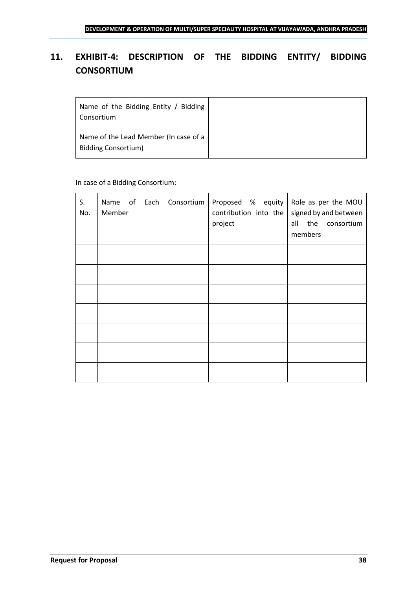## <span id="page-37-0"></span>**11. EXHIBIT-4: DESCRIPTION OF THE BIDDING ENTITY/ BIDDING CONSORTIUM**

| Name of the Bidding Entity / Bidding<br>Consortium                  |  |
|---------------------------------------------------------------------|--|
| Name of the Lead Member (In case of a<br><b>Bidding Consortium)</b> |  |

## In case of a Bidding Consortium:

| S.<br>No. | Name of Each Consortium<br>Member | Proposed $%$ equity Role as per the MOU<br>contribution into the<br>project | signed by and between<br>all the consortium<br>members |
|-----------|-----------------------------------|-----------------------------------------------------------------------------|--------------------------------------------------------|
|           |                                   |                                                                             |                                                        |
|           |                                   |                                                                             |                                                        |
|           |                                   |                                                                             |                                                        |
|           |                                   |                                                                             |                                                        |
|           |                                   |                                                                             |                                                        |
|           |                                   |                                                                             |                                                        |
|           |                                   |                                                                             |                                                        |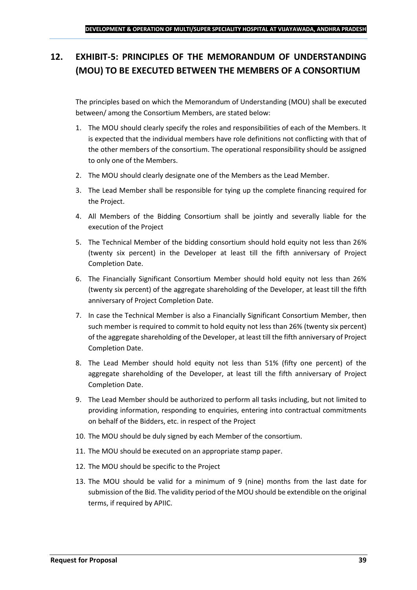## <span id="page-38-0"></span>**12. EXHIBIT-5: PRINCIPLES OF THE MEMORANDUM OF UNDERSTANDING (MOU) TO BE EXECUTED BETWEEN THE MEMBERS OF A CONSORTIUM**

The principles based on which the Memorandum of Understanding (MOU) shall be executed between/ among the Consortium Members, are stated below:

- 1. The MOU should clearly specify the roles and responsibilities of each of the Members. It is expected that the individual members have role definitions not conflicting with that of the other members of the consortium. The operational responsibility should be assigned to only one of the Members.
- 2. The MOU should clearly designate one of the Members as the Lead Member.
- 3. The Lead Member shall be responsible for tying up the complete financing required for the Project.
- 4. All Members of the Bidding Consortium shall be jointly and severally liable for the execution of the Project
- 5. The Technical Member of the bidding consortium should hold equity not less than 26% (twenty six percent) in the Developer at least till the fifth anniversary of Project Completion Date.
- 6. The Financially Significant Consortium Member should hold equity not less than 26% (twenty six percent) of the aggregate shareholding of the Developer, at least till the fifth anniversary of Project Completion Date.
- 7. In case the Technical Member is also a Financially Significant Consortium Member, then such member is required to commit to hold equity not less than 26% (twenty six percent) of the aggregate shareholding of the Developer, at least till the fifth anniversary of Project Completion Date.
- 8. The Lead Member should hold equity not less than 51% (fifty one percent) of the aggregate shareholding of the Developer, at least till the fifth anniversary of Project Completion Date.
- 9. The Lead Member should be authorized to perform all tasks including, but not limited to providing information, responding to enquiries, entering into contractual commitments on behalf of the Bidders, etc. in respect of the Project
- 10. The MOU should be duly signed by each Member of the consortium.
- 11. The MOU should be executed on an appropriate stamp paper.
- 12. The MOU should be specific to the Project
- 13. The MOU should be valid for a minimum of 9 (nine) months from the last date for submission of the Bid. The validity period of the MOU should be extendible on the original terms, if required by APIIC.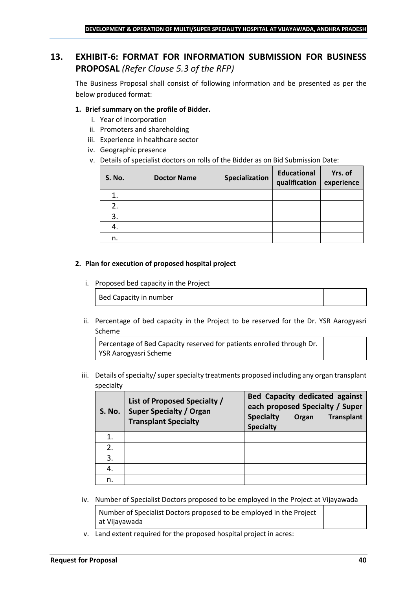## <span id="page-39-0"></span>**13. EXHIBIT-6: FORMAT FOR INFORMATION SUBMISSION FOR BUSINESS PROPOSAL** *(Refer Clause 5.3 of the RFP)*

The Business Proposal shall consist of following information and be presented as per the below produced format:

### **1. Brief summary on the profile of Bidder.**

- i. Year of incorporation
- ii. Promoters and shareholding
- iii. Experience in healthcare sector
- iv. Geographic presence
- v. Details of specialist doctors on rolls of the Bidder as on Bid Submission Date:

| <b>S. No.</b> | <b>Doctor Name</b> | Specialization | <b>Educational</b><br>qualification | Yrs. of<br>experience |
|---------------|--------------------|----------------|-------------------------------------|-----------------------|
|               |                    |                |                                     |                       |
| 2.            |                    |                |                                     |                       |
| 3.            |                    |                |                                     |                       |
| 4.            |                    |                |                                     |                       |
| n.            |                    |                |                                     |                       |

#### **2. Plan for execution of proposed hospital project**

i. Proposed bed capacity in the Project

Bed Capacity in number

ii. Percentage of bed capacity in the Project to be reserved for the Dr. YSR Aarogyasri Scheme

Percentage of Bed Capacity reserved for patients enrolled through Dr. YSR Aarogyasri Scheme

iii. Details of specialty/ super specialty treatments proposed including any organ transplant specialty

| <b>S. No.</b> | List of Proposed Specialty /<br><b>Super Specialty / Organ</b><br><b>Transplant Specialty</b> | <b>Bed Capacity dedicated against</b><br>each proposed Specialty / Super<br><b>Specialty</b><br><b>Transplant</b><br>Organ<br><b>Specialty</b> |
|---------------|-----------------------------------------------------------------------------------------------|------------------------------------------------------------------------------------------------------------------------------------------------|
|               |                                                                                               |                                                                                                                                                |
| 2.            |                                                                                               |                                                                                                                                                |
| 3.            |                                                                                               |                                                                                                                                                |
| 4.            |                                                                                               |                                                                                                                                                |
| n.            |                                                                                               |                                                                                                                                                |

iv. Number of Specialist Doctors proposed to be employed in the Project at Vijayawada

Number of Specialist Doctors proposed to be employed in the Project at Vijayawada

v. Land extent required for the proposed hospital project in acres: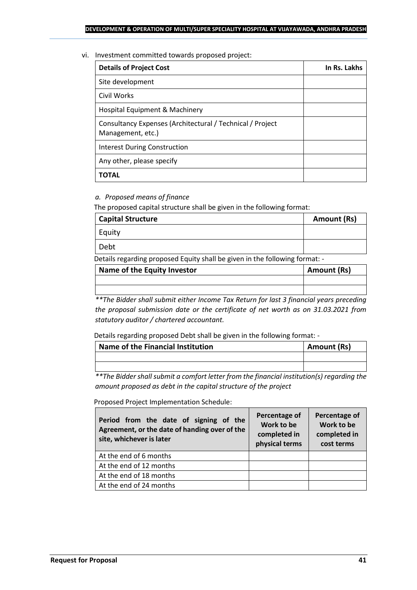#### vi. Investment committed towards proposed project:

| <b>Details of Project Cost</b>                                                 | In Rs. Lakhs |
|--------------------------------------------------------------------------------|--------------|
| Site development                                                               |              |
| Civil Works                                                                    |              |
| Hospital Equipment & Machinery                                                 |              |
| Consultancy Expenses (Architectural / Technical / Project<br>Management, etc.) |              |
| <b>Interest During Construction</b>                                            |              |
| Any other, please specify                                                      |              |
| ΤΟΤΑL                                                                          |              |

## *a. Proposed means of finance*

The proposed capital structure shall be given in the following format:

| <b>Capital Structure</b> | Amount (Rs) |
|--------------------------|-------------|
| Equity                   |             |
| Debt                     |             |

Details regarding proposed Equity shall be given in the following format: -

| Name of the Equity Investor | Amount (Rs) |
|-----------------------------|-------------|
|                             |             |
|                             |             |

*\*\*The Bidder shall submit either Income Tax Return for last 3 financial years preceding the proposal submission date or the certificate of net worth as on 31.03.2021 from statutory auditor / chartered accountant.*

Details regarding proposed Debt shall be given in the following format: -

| Name of the Financial Institution | Amount (Rs) |
|-----------------------------------|-------------|
|                                   |             |
|                                   |             |

*\*\*The Bidder shall submit a comfort letter from the financial institution(s) regarding the amount proposed as debt in the capital structure of the project*

Proposed Project Implementation Schedule:

| Period from the date of signing of the<br>Agreement, or the date of handing over of the<br>site, whichever is later | Percentage of<br>Work to be<br>completed in<br>physical terms | Percentage of<br>Work to be<br>completed in<br>cost terms |
|---------------------------------------------------------------------------------------------------------------------|---------------------------------------------------------------|-----------------------------------------------------------|
| At the end of 6 months                                                                                              |                                                               |                                                           |
| At the end of 12 months                                                                                             |                                                               |                                                           |
| At the end of 18 months                                                                                             |                                                               |                                                           |
| At the end of 24 months                                                                                             |                                                               |                                                           |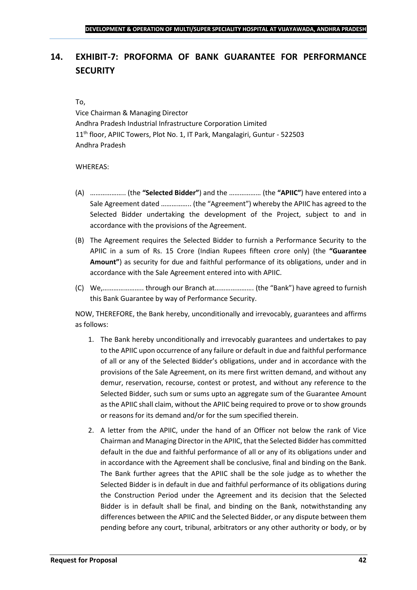## <span id="page-41-0"></span>**14. EXHIBIT-7: PROFORMA OF BANK GUARANTEE FOR PERFORMANCE SECURITY**

#### To,

Vice Chairman & Managing Director Andhra Pradesh Industrial Infrastructure Corporation Limited 11<sup>th</sup> floor, APIIC Towers, Plot No. 1, IT Park, Mangalagiri, Guntur - 522503 Andhra Pradesh

#### WHEREAS:

- (A) ……………….. (the **"Selected Bidder"**) and the ……………… (the **"APIIC"**) have entered into a Sale Agreement dated …………….. (the "Agreement") whereby the APIIC has agreed to the Selected Bidder undertaking the development of the Project, subject to and in accordance with the provisions of the Agreement.
- (B) The Agreement requires the Selected Bidder to furnish a Performance Security to the APIIC in a sum of Rs. 15 Crore (Indian Rupees fifteen crore only) (the **"Guarantee Amount"**) as security for due and faithful performance of its obligations, under and in accordance with the Sale Agreement entered into with APIIC.
- (C) We,………………….. through our Branch at…………………. (the "Bank") have agreed to furnish this Bank Guarantee by way of Performance Security.

NOW, THEREFORE, the Bank hereby, unconditionally and irrevocably, guarantees and affirms as follows:

- 1. The Bank hereby unconditionally and irrevocably guarantees and undertakes to pay to the APIIC upon occurrence of any failure or default in due and faithful performance of all or any of the Selected Bidder's obligations, under and in accordance with the provisions of the Sale Agreement, on its mere first written demand, and without any demur, reservation, recourse, contest or protest, and without any reference to the Selected Bidder, such sum or sums upto an aggregate sum of the Guarantee Amount as the APIIC shall claim, without the APIIC being required to prove or to show grounds or reasons for its demand and/or for the sum specified therein.
- 2. A letter from the APIIC, under the hand of an Officer not below the rank of Vice Chairman and Managing Director in the APIIC, that the Selected Bidder has committed default in the due and faithful performance of all or any of its obligations under and in accordance with the Agreement shall be conclusive, final and binding on the Bank. The Bank further agrees that the APIIC shall be the sole judge as to whether the Selected Bidder is in default in due and faithful performance of its obligations during the Construction Period under the Agreement and its decision that the Selected Bidder is in default shall be final, and binding on the Bank, notwithstanding any differences between the APIIC and the Selected Bidder, or any dispute between them pending before any court, tribunal, arbitrators or any other authority or body, or by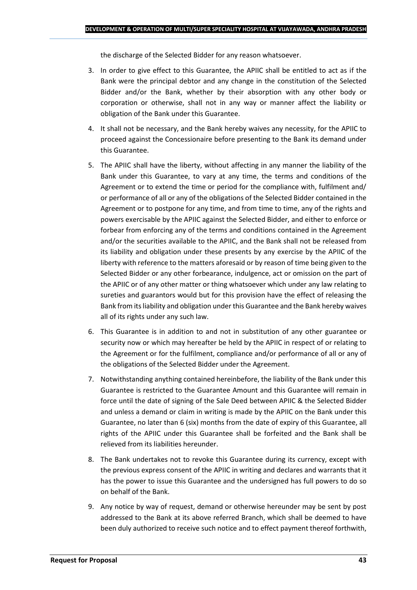the discharge of the Selected Bidder for any reason whatsoever.

- 3. In order to give effect to this Guarantee, the APIIC shall be entitled to act as if the Bank were the principal debtor and any change in the constitution of the Selected Bidder and/or the Bank, whether by their absorption with any other body or corporation or otherwise, shall not in any way or manner affect the liability or obligation of the Bank under this Guarantee.
- 4. It shall not be necessary, and the Bank hereby waives any necessity, for the APIIC to proceed against the Concessionaire before presenting to the Bank its demand under this Guarantee.
- 5. The APIIC shall have the liberty, without affecting in any manner the liability of the Bank under this Guarantee, to vary at any time, the terms and conditions of the Agreement or to extend the time or period for the compliance with, fulfilment and/ or performance of all or any of the obligations of the Selected Bidder contained in the Agreement or to postpone for any time, and from time to time, any of the rights and powers exercisable by the APIIC against the Selected Bidder, and either to enforce or forbear from enforcing any of the terms and conditions contained in the Agreement and/or the securities available to the APIIC, and the Bank shall not be released from its liability and obligation under these presents by any exercise by the APIIC of the liberty with reference to the matters aforesaid or by reason of time being given to the Selected Bidder or any other forbearance, indulgence, act or omission on the part of the APIIC or of any other matter or thing whatsoever which under any law relating to sureties and guarantors would but for this provision have the effect of releasing the Bank from its liability and obligation under this Guarantee and the Bank hereby waives all of its rights under any such law.
- 6. This Guarantee is in addition to and not in substitution of any other guarantee or security now or which may hereafter be held by the APIIC in respect of or relating to the Agreement or for the fulfilment, compliance and/or performance of all or any of the obligations of the Selected Bidder under the Agreement.
- 7. Notwithstanding anything contained hereinbefore, the liability of the Bank under this Guarantee is restricted to the Guarantee Amount and this Guarantee will remain in force until the date of signing of the Sale Deed between APIIC & the Selected Bidder and unless a demand or claim in writing is made by the APIIC on the Bank under this Guarantee, no later than 6 (six) months from the date of expiry of this Guarantee, all rights of the APIIC under this Guarantee shall be forfeited and the Bank shall be relieved from its liabilities hereunder.
- 8. The Bank undertakes not to revoke this Guarantee during its currency, except with the previous express consent of the APIIC in writing and declares and warrants that it has the power to issue this Guarantee and the undersigned has full powers to do so on behalf of the Bank.
- 9. Any notice by way of request, demand or otherwise hereunder may be sent by post addressed to the Bank at its above referred Branch, which shall be deemed to have been duly authorized to receive such notice and to effect payment thereof forthwith,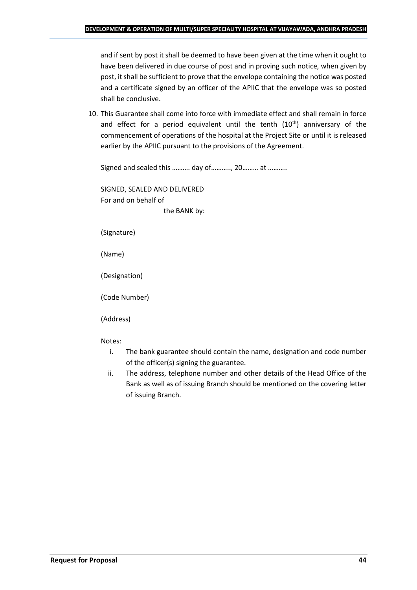and if sent by post it shall be deemed to have been given at the time when it ought to have been delivered in due course of post and in proving such notice, when given by post, it shall be sufficient to prove that the envelope containing the notice was posted and a certificate signed by an officer of the APIIC that the envelope was so posted shall be conclusive.

10. This Guarantee shall come into force with immediate effect and shall remain in force and effect for a period equivalent until the tenth  $(10<sup>th</sup>)$  anniversary of the commencement of operations of the hospital at the Project Site or until it is released earlier by the APIIC pursuant to the provisions of the Agreement.

Signed and sealed this .......... day of..........., 20......... at ...........

SIGNED, SEALED AND DELIVERED For and on behalf of the BANK by:

(Signature)

(Name)

(Designation)

(Code Number)

(Address)

Notes:

- i. The bank guarantee should contain the name, designation and code number of the officer(s) signing the guarantee.
- ii. The address, telephone number and other details of the Head Office of the Bank as well as of issuing Branch should be mentioned on the covering letter of issuing Branch.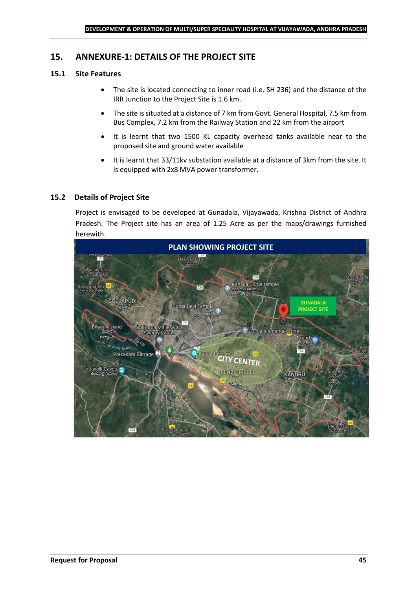## <span id="page-44-0"></span>**15. ANNEXURE-1: DETAILS OF THE PROJECT SITE**

## **15.1 Site Features**

- The site is located connecting to inner road (i.e. SH 236) and the distance of the IRR Junction to the Project Site is 1.6 km.
- The site is situated at a distance of 7 km from Govt. General Hospital, 7.5 km from Bus Complex, 7.2 km from the Railway Station and 22 km from the airport
- It is learnt that two 1500 KL capacity overhead tanks available near to the proposed site and ground water available
- It is learnt that 33/11kv substation available at a distance of 3km from the site. It is equipped with 2x8 MVA power transformer.

## **15.2 Details of Project Site**

Project is envisaged to be developed at Gunadala, Vijayawada, Krishna District of Andhra Pradesh. The Project site has an area of 1.25 Acre as per the maps/drawings furnished herewith.

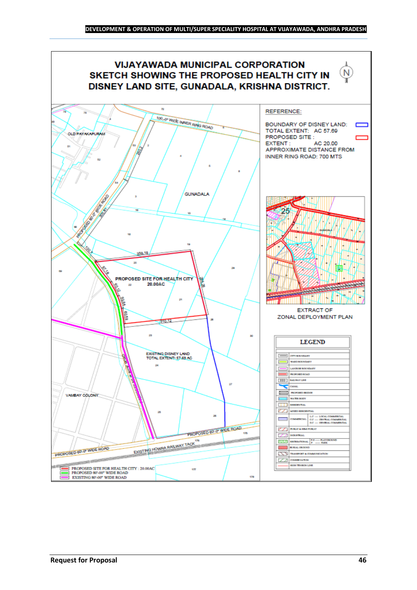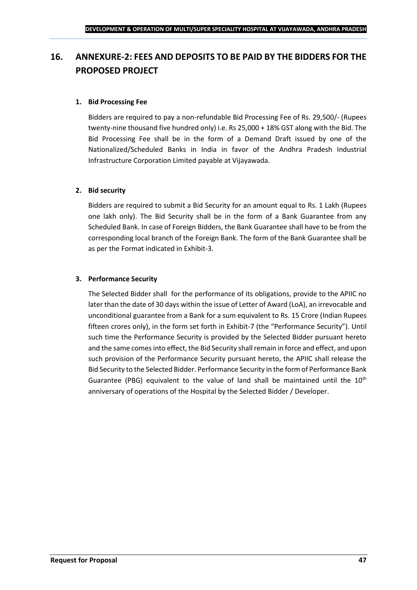## <span id="page-46-0"></span>**16. ANNEXURE-2: FEES AND DEPOSITS TO BE PAID BY THE BIDDERS FOR THE PROPOSED PROJECT**

### **1. Bid Processing Fee**

Bidders are required to pay a non-refundable Bid Processing Fee of Rs. 29,500/- (Rupees twenty-nine thousand five hundred only) i.e. Rs 25,000 + 18% GST along with the Bid. The Bid Processing Fee shall be in the form of a Demand Draft issued by one of the Nationalized/Scheduled Banks in India in favor of the Andhra Pradesh Industrial Infrastructure Corporation Limited payable at Vijayawada.

#### **2. Bid security**

Bidders are required to submit a Bid Security for an amount equal to Rs. 1 Lakh (Rupees one lakh only). The Bid Security shall be in the form of a Bank Guarantee from any Scheduled Bank. In case of Foreign Bidders, the Bank Guarantee shall have to be from the corresponding local branch of the Foreign Bank. The form of the Bank Guarantee shall be as per the Format indicated in Exhibit-3.

#### **3. Performance Security**

The Selected Bidder shall for the performance of its obligations, provide to the APIIC no later than the date of 30 days within the issue of Letter of Award (LoA), an irrevocable and unconditional guarantee from a Bank for a sum equivalent to Rs. 15 Crore (Indian Rupees fifteen crores only), in the form set forth in Exhibit-7 (the "Performance Security"). Until such time the Performance Security is provided by the Selected Bidder pursuant hereto and the same comes into effect, the Bid Security shall remain in force and effect, and upon such provision of the Performance Security pursuant hereto, the APIIC shall release the Bid Security to the Selected Bidder. Performance Security in the form of Performance Bank Guarantee (PBG) equivalent to the value of land shall be maintained until the  $10<sup>th</sup>$ anniversary of operations of the Hospital by the Selected Bidder / Developer.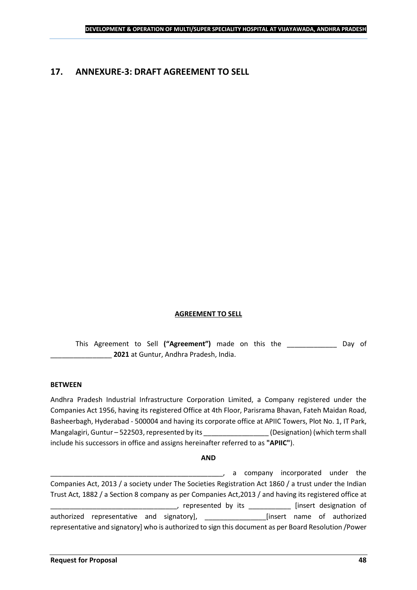## <span id="page-47-0"></span>**17. ANNEXURE-3: DRAFT AGREEMENT TO SELL**

#### **AGREEMENT TO SELL**

This Agreement to Sell **("Agreement")** made on this the \_\_\_\_\_\_\_\_\_\_\_\_\_ Day of \_\_\_\_\_\_\_\_\_\_\_\_\_\_\_\_ **2021** at Guntur, Andhra Pradesh, India.

#### **BETWEEN**

Andhra Pradesh Industrial Infrastructure Corporation Limited, a Company registered under the Companies Act 1956, having its registered Office at 4th Floor, Parisrama Bhavan, Fateh Maidan Road, Basheerbagh, Hyderabad - 500004 and having its corporate office at APIIC Towers, Plot No. 1, IT Park, Mangalagiri, Guntur – 522503, represented by its \_\_\_\_\_\_\_\_\_\_\_\_\_\_\_\_\_\_\_\_\_\_\_\_\_\_\_\_\_\_\_\_<br>(Designation) (which term shall include his successors in office and assigns hereinafter referred to as **"APIIC"**).

#### **AND**

\_\_\_\_\_\_\_\_\_\_\_\_\_\_\_\_\_\_\_\_\_\_\_\_\_\_\_\_\_\_\_\_\_\_\_\_\_\_\_\_\_\_\_\_\_, a company incorporated under the Companies Act, 2013 / a society under The Societies Registration Act 1860 / a trust under the Indian Trust Act, 1882 / a Section 8 company as per Companies Act,2013 / and having its registered office at corridge to represented by its \_\_\_\_\_\_\_\_\_\_\_\_\_ [insert designation of authorized representative and signatory], \_\_\_\_\_\_\_\_\_\_\_\_\_\_\_\_[insert name of authorized representative and signatory] who is authorized to sign this document as per Board Resolution /Power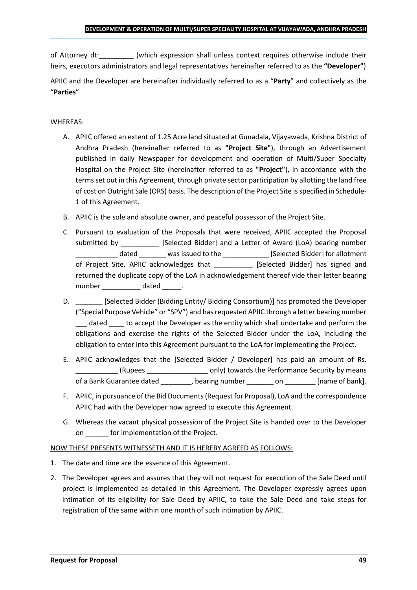of Attorney dt:  $\qquad \qquad$  (which expression shall unless context requires otherwise include their heirs, executors administrators and legal representatives hereinafter referred to as the **"Developer"**)

APIIC and the Developer are hereinafter individually referred to as a "**Party**" and collectively as the "**Parties**".

## WHEREAS:

- A. APIIC offered an extent of 1.25 Acre land situated at Gunadala, Vijayawada, Krishna District of Andhra Pradesh (hereinafter referred to as **"Project Site"**), through an Advertisement published in daily Newspaper for development and operation of Multi/Super Specialty Hospital on the Project Site (hereinafter referred to as **"Project"**), in accordance with the terms set out in this Agreement, through private sector participation by allotting the land free of cost on Outright Sale (ORS) basis. The description of the Project Site is specified in Schedule-1 of this Agreement.
- B. APIIC is the sole and absolute owner, and peaceful possessor of the Project Site.
- C. Pursuant to evaluation of the Proposals that were received, APIIC accepted the Proposal submitted by [Selected Bidder] and a Letter of Award (LoA) bearing number \_\_\_\_\_\_\_\_\_\_\_ dated \_\_\_\_\_\_\_ was issued to the \_\_\_\_\_\_\_\_\_\_\_\_ [Selected Bidder] for allotment of Project Site. APIIC acknowledges that [Selected Bidder] has signed and returned the duplicate copy of the LoA in acknowledgement thereof vide their letter bearing number dated the dated and the dated the set of  $\alpha$
- D. \_\_\_\_\_\_\_\_\_ [Selected Bidder (Bidding Entity/ Bidding Consortium)] has promoted the Developer ("Special Purpose Vehicle" or "SPV") and has requested APIIC through a letter bearing number dated to accept the Developer as the entity which shall undertake and perform the obligations and exercise the rights of the Selected Bidder under the LoA, including the obligation to enter into this Agreement pursuant to the LoA for implementing the Project.
- E. APIIC acknowledges that the [Selected Bidder / Developer] has paid an amount of Rs. \_\_\_\_\_\_\_\_\_\_\_ (Rupees \_\_\_\_\_\_\_\_\_\_\_\_\_\_\_\_ only) towards the Performance Security by means of a Bank Guarantee dated bearing number on the lame of bank].
- F. APIIC, in pursuance of the Bid Documents (Request for Proposal), LoA and the correspondence APIIC had with the Developer now agreed to execute this Agreement.
- G. Whereas the vacant physical possession of the Project Site is handed over to the Developer on \_\_\_\_\_\_ for implementation of the Project.

## NOW THESE PRESENTS WITNESSETH AND IT IS HEREBY AGREED AS FOLLOWS:

- 1. The date and time are the essence of this Agreement.
- 2. The Developer agrees and assures that they will not request for execution of the Sale Deed until project is implemented as detailed in this Agreement. The Developer expressly agrees upon intimation of its eligibility for Sale Deed by APIIC, to take the Sale Deed and take steps for registration of the same within one month of such intimation by APIIC.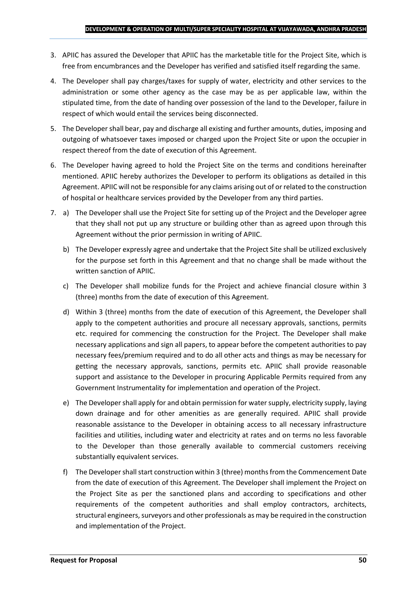- 3. APIIC has assured the Developer that APIIC has the marketable title for the Project Site, which is free from encumbrances and the Developer has verified and satisfied itself regarding the same.
- 4. The Developer shall pay charges/taxes for supply of water, electricity and other services to the administration or some other agency as the case may be as per applicable law, within the stipulated time, from the date of handing over possession of the land to the Developer, failure in respect of which would entail the services being disconnected.
- 5. The Developer shall bear, pay and discharge all existing and further amounts, duties, imposing and outgoing of whatsoever taxes imposed or charged upon the Project Site or upon the occupier in respect thereof from the date of execution of this Agreement.
- 6. The Developer having agreed to hold the Project Site on the terms and conditions hereinafter mentioned. APIIC hereby authorizes the Developer to perform its obligations as detailed in this Agreement. APIIC will not be responsible for any claims arising out of or related to the construction of hospital or healthcare services provided by the Developer from any third parties.
- 7. a) The Developer shall use the Project Site for setting up of the Project and the Developer agree that they shall not put up any structure or building other than as agreed upon through this Agreement without the prior permission in writing of APIIC.
	- b) The Developer expressly agree and undertake that the Project Site shall be utilized exclusively for the purpose set forth in this Agreement and that no change shall be made without the written sanction of APIIC.
	- c) The Developer shall mobilize funds for the Project and achieve financial closure within 3 (three) months from the date of execution of this Agreement.
	- d) Within 3 (three) months from the date of execution of this Agreement, the Developer shall apply to the competent authorities and procure all necessary approvals, sanctions, permits etc. required for commencing the construction for the Project. The Developer shall make necessary applications and sign all papers, to appear before the competent authorities to pay necessary fees/premium required and to do all other acts and things as may be necessary for getting the necessary approvals, sanctions, permits etc. APIIC shall provide reasonable support and assistance to the Developer in procuring Applicable Permits required from any Government Instrumentality for implementation and operation of the Project.
	- e) The Developer shall apply for and obtain permission for water supply, electricity supply, laying down drainage and for other amenities as are generally required. APIIC shall provide reasonable assistance to the Developer in obtaining access to all necessary infrastructure facilities and utilities, including water and electricity at rates and on terms no less favorable to the Developer than those generally available to commercial customers receiving substantially equivalent services.
	- f) The Developer shall start construction within 3 (three) months from the Commencement Date from the date of execution of this Agreement. The Developer shall implement the Project on the Project Site as per the sanctioned plans and according to specifications and other requirements of the competent authorities and shall employ contractors, architects, structural engineers, surveyors and other professionals as may be required in the construction and implementation of the Project.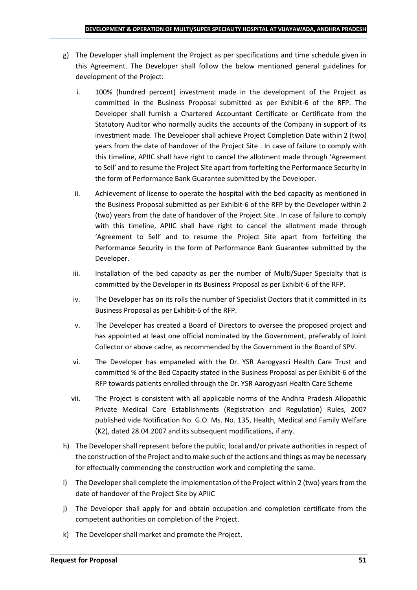- g) The Developer shall implement the Project as per specifications and time schedule given in this Agreement. The Developer shall follow the below mentioned general guidelines for development of the Project:
	- i. 100% (hundred percent) investment made in the development of the Project as committed in the Business Proposal submitted as per Exhibit-6 of the RFP. The Developer shall furnish a Chartered Accountant Certificate or Certificate from the Statutory Auditor who normally audits the accounts of the Company in support of its investment made. The Developer shall achieve Project Completion Date within 2 (two) years from the date of handover of the Project Site . In case of failure to comply with this timeline, APIIC shall have right to cancel the allotment made through 'Agreement to Sell' and to resume the Project Site apart from forfeiting the Performance Security in the form of Performance Bank Guarantee submitted by the Developer.
	- ii. Achievement of license to operate the hospital with the bed capacity as mentioned in the Business Proposal submitted as per Exhibit-6 of the RFP by the Developer within 2 (two) years from the date of handover of the Project Site . In case of failure to comply with this timeline, APIIC shall have right to cancel the allotment made through 'Agreement to Sell' and to resume the Project Site apart from forfeiting the Performance Security in the form of Performance Bank Guarantee submitted by the Developer.
	- iii. Installation of the bed capacity as per the number of Multi/Super Specialty that is committed by the Developer in its Business Proposal as per Exhibit-6 of the RFP.
	- iv. The Developer has on its rolls the number of Specialist Doctors that it committed in its Business Proposal as per Exhibit-6 of the RFP.
	- v. The Developer has created a Board of Directors to oversee the proposed project and has appointed at least one official nominated by the Government, preferably of Joint Collector or above cadre, as recommended by the Government in the Board of SPV.
	- vi. The Developer has empaneled with the Dr. YSR Aarogyasri Health Care Trust and committed % of the Bed Capacity stated in the Business Proposal as per Exhibit-6 of the RFP towards patients enrolled through the Dr. YSR Aarogyasri Health Care Scheme
	- vii. The Project is consistent with all applicable norms of the Andhra Pradesh Allopathic Private Medical Care Establishments (Registration and Regulation) Rules, 2007 published vide Notification No. G.O. Ms. No. 135, Health, Medical and Family Welfare (K2), dated 28.04.2007 and its subsequent modifications, if any.
- h) The Developer shall represent before the public, local and/or private authorities in respect of the construction of the Project and to make such of the actions and things as may be necessary for effectually commencing the construction work and completing the same.
- i) The Developer shall complete the implementation of the Project within 2 (two) years from the date of handover of the Project Site by APIIC
- j) The Developer shall apply for and obtain occupation and completion certificate from the competent authorities on completion of the Project.
- k) The Developer shall market and promote the Project.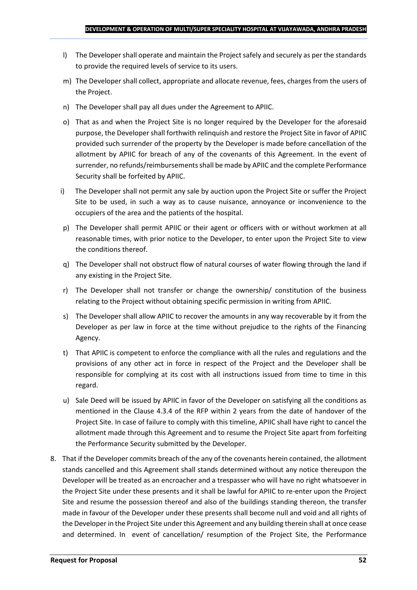- l) The Developer shall operate and maintain the Project safely and securely as per the standards to provide the required levels of service to its users.
- m) The Developer shall collect, appropriate and allocate revenue, fees, charges from the users of the Project.
- n) The Developer shall pay all dues under the Agreement to APIIC.
- o) That as and when the Project Site is no longer required by the Developer for the aforesaid purpose, the Developer shall forthwith relinquish and restore the Project Site in favor of APIIC provided such surrender of the property by the Developer is made before cancellation of the allotment by APIIC for breach of any of the covenants of this Agreement. In the event of surrender, no refunds/reimbursements shall be made by APIIC and the complete Performance Security shall be forfeited by APIIC.
- i) The Developer shall not permit any sale by auction upon the Project Site or suffer the Project Site to be used, in such a way as to cause nuisance, annoyance or inconvenience to the occupiers of the area and the patients of the hospital.
- p) The Developer shall permit APIIC or their agent or officers with or without workmen at all reasonable times, with prior notice to the Developer, to enter upon the Project Site to view the conditions thereof.
- q) The Developer shall not obstruct flow of natural courses of water flowing through the land if any existing in the Project Site.
- r) The Developer shall not transfer or change the ownership/ constitution of the business relating to the Project without obtaining specific permission in writing from APIIC.
- s) The Developer shall allow APIIC to recover the amounts in any way recoverable by it from the Developer as per law in force at the time without prejudice to the rights of the Financing Agency.
- t) That APIIC is competent to enforce the compliance with all the rules and regulations and the provisions of any other act in force in respect of the Project and the Developer shall be responsible for complying at its cost with all instructions issued from time to time in this regard.
- u) Sale Deed will be issued by APIIC in favor of the Developer on satisfying all the conditions as mentioned in the Clause 4.3.4 of the RFP within 2 years from the date of handover of the Project Site. In case of failure to comply with this timeline, APIIC shall have right to cancel the allotment made through this Agreement and to resume the Project Site apart from forfeiting the Performance Security submitted by the Developer.
- 8. That if the Developer commits breach of the any of the covenants herein contained, the allotment stands cancelled and this Agreement shall stands determined without any notice thereupon the Developer will be treated as an encroacher and a trespasser who will have no right whatsoever in the Project Site under these presents and it shall be lawful for APIIC to re-enter upon the Project Site and resume the possession thereof and also of the buildings standing thereon, the transfer made in favour of the Developer under these presents shall become null and void and all rights of the Developer in the Project Site under this Agreement and any building therein shall at once cease and determined. In event of cancellation/ resumption of the Project Site, the Performance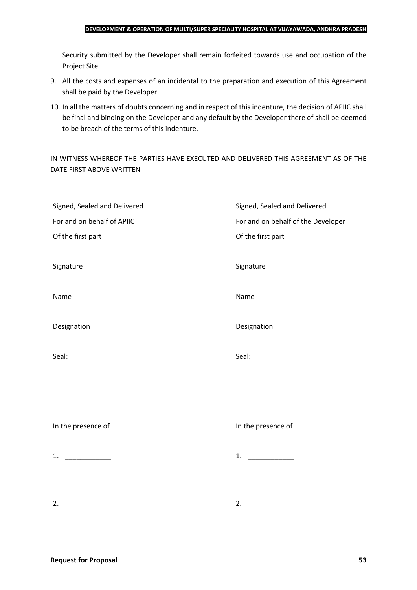#### **DEVELOPMENT & OPERATION OF MULTI/SUPER SPECIALITY HOSPITAL AT VIJAYAWADA, ANDHRA PRADESH**

Security submitted by the Developer shall remain forfeited towards use and occupation of the Project Site.

- 9. All the costs and expenses of an incidental to the preparation and execution of this Agreement shall be paid by the Developer.
- 10. In all the matters of doubts concerning and in respect of this indenture, the decision of APIIC shall be final and binding on the Developer and any default by the Developer there of shall be deemed to be breach of the terms of this indenture.

IN WITNESS WHEREOF THE PARTIES HAVE EXECUTED AND DELIVERED THIS AGREEMENT AS OF THE DATE FIRST ABOVE WRITTEN

| Signed, Sealed and Delivered | Signed, Sealed and Delivered       |
|------------------------------|------------------------------------|
| For and on behalf of APIIC   | For and on behalf of the Developer |
| Of the first part            | Of the first part                  |
|                              |                                    |
| Signature                    | Signature                          |
|                              |                                    |
| Name                         | Name                               |
|                              |                                    |
| Designation                  | Designation                        |
|                              |                                    |
| Seal:                        | Seal:                              |
|                              |                                    |
|                              |                                    |
|                              |                                    |
|                              |                                    |
| In the presence of           | In the presence of                 |
|                              |                                    |
| 1. $\qquad$                  | 1.                                 |
|                              |                                    |
|                              |                                    |
| 2.                           | 2. $\qquad \qquad$                 |
|                              |                                    |